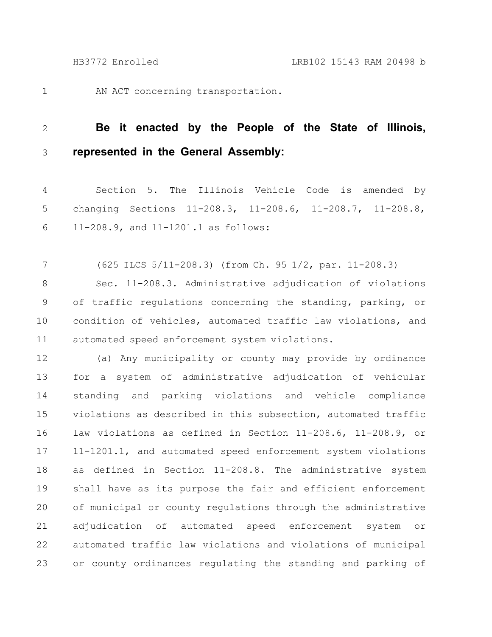1

AN ACT concerning transportation.

## **Be it enacted by the People of the State of Illinois, represented in the General Assembly:** 2 3

Section 5. The Illinois Vehicle Code is amended by changing Sections 11-208.3, 11-208.6, 11-208.7, 11-208.8, 11-208.9, and 11-1201.1 as follows: 4 5 6

(625 ILCS 5/11-208.3) (from Ch. 95 1/2, par. 11-208.3) Sec. 11-208.3. Administrative adjudication of violations of traffic regulations concerning the standing, parking, or condition of vehicles, automated traffic law violations, and automated speed enforcement system violations. 7 8 9 10 11

(a) Any municipality or county may provide by ordinance for a system of administrative adjudication of vehicular standing and parking violations and vehicle compliance violations as described in this subsection, automated traffic law violations as defined in Section 11-208.6, 11-208.9, or 11-1201.1, and automated speed enforcement system violations as defined in Section 11-208.8. The administrative system shall have as its purpose the fair and efficient enforcement of municipal or county regulations through the administrative adjudication of automated speed enforcement system or automated traffic law violations and violations of municipal or county ordinances regulating the standing and parking of 12 13 14 15 16 17 18 19 20 21 22 23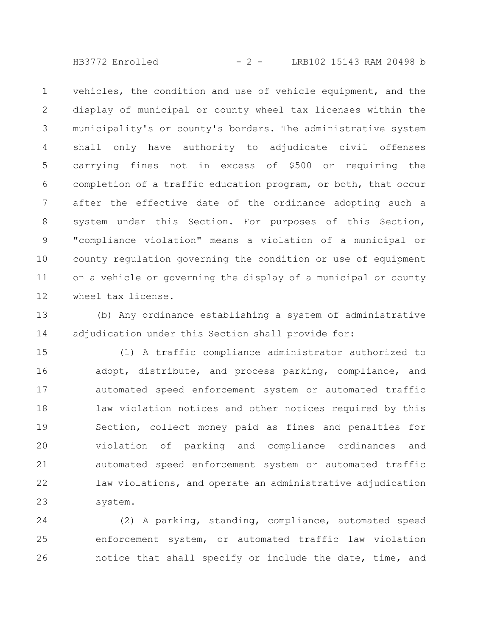HB3772 Enrolled - 2 - LRB102 15143 RAM 20498 b

vehicles, the condition and use of vehicle equipment, and the display of municipal or county wheel tax licenses within the municipality's or county's borders. The administrative system shall only have authority to adjudicate civil offenses carrying fines not in excess of \$500 or requiring the completion of a traffic education program, or both, that occur after the effective date of the ordinance adopting such a system under this Section. For purposes of this Section, "compliance violation" means a violation of a municipal or county regulation governing the condition or use of equipment on a vehicle or governing the display of a municipal or county wheel tax license. 1 2 3 4 5 6 7 8 9 10 11 12

(b) Any ordinance establishing a system of administrative adjudication under this Section shall provide for: 13 14

(1) A traffic compliance administrator authorized to adopt, distribute, and process parking, compliance, and automated speed enforcement system or automated traffic law violation notices and other notices required by this Section, collect money paid as fines and penalties for violation of parking and compliance ordinances and automated speed enforcement system or automated traffic law violations, and operate an administrative adjudication system. 15 16 17 18 19 20 21 22 23

(2) A parking, standing, compliance, automated speed enforcement system, or automated traffic law violation notice that shall specify or include the date, time, and 24 25 26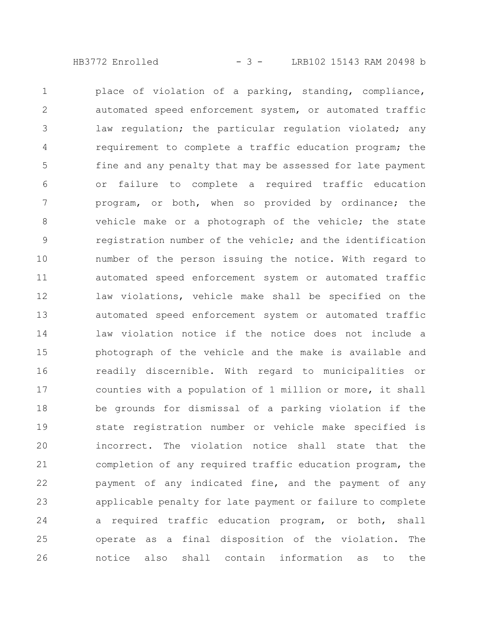HB3772 Enrolled - 3 - LRB102 15143 RAM 20498 b

place of violation of a parking, standing, compliance, automated speed enforcement system, or automated traffic law regulation; the particular regulation violated; any requirement to complete a traffic education program; the fine and any penalty that may be assessed for late payment or failure to complete a required traffic education program, or both, when so provided by ordinance; the vehicle make or a photograph of the vehicle; the state registration number of the vehicle; and the identification number of the person issuing the notice. With regard to automated speed enforcement system or automated traffic law violations, vehicle make shall be specified on the automated speed enforcement system or automated traffic law violation notice if the notice does not include a photograph of the vehicle and the make is available and readily discernible. With regard to municipalities or counties with a population of 1 million or more, it shall be grounds for dismissal of a parking violation if the state registration number or vehicle make specified is incorrect. The violation notice shall state that the completion of any required traffic education program, the payment of any indicated fine, and the payment of any applicable penalty for late payment or failure to complete a required traffic education program, or both, shall operate as a final disposition of the violation. The notice also shall contain information as to the 1 2 3 4 5 6 7 8 9 10 11 12 13 14 15 16 17 18 19 20 21 22 23 24 25 26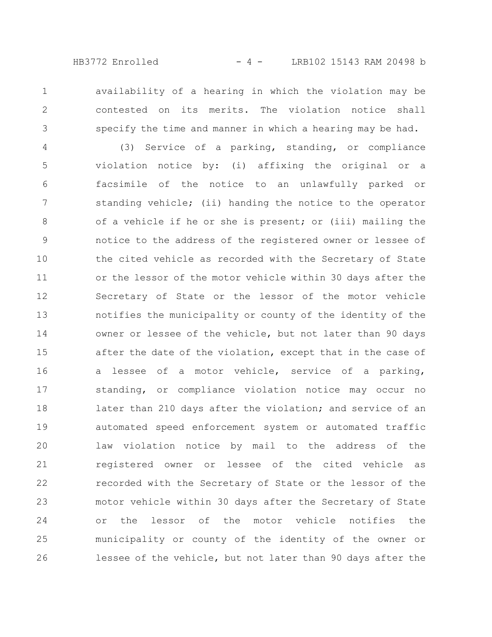availability of a hearing in which the violation may be contested on its merits. The violation notice shall specify the time and manner in which a hearing may be had.

1

2

3

(3) Service of a parking, standing, or compliance violation notice by: (i) affixing the original or a facsimile of the notice to an unlawfully parked or standing vehicle; (ii) handing the notice to the operator of a vehicle if he or she is present; or (iii) mailing the notice to the address of the registered owner or lessee of the cited vehicle as recorded with the Secretary of State or the lessor of the motor vehicle within 30 days after the Secretary of State or the lessor of the motor vehicle notifies the municipality or county of the identity of the owner or lessee of the vehicle, but not later than 90 days after the date of the violation, except that in the case of a lessee of a motor vehicle, service of a parking, standing, or compliance violation notice may occur no later than 210 days after the violation; and service of an automated speed enforcement system or automated traffic law violation notice by mail to the address of the registered owner or lessee of the cited vehicle as recorded with the Secretary of State or the lessor of the motor vehicle within 30 days after the Secretary of State or the lessor of the motor vehicle notifies the municipality or county of the identity of the owner or lessee of the vehicle, but not later than 90 days after the 4 5 6 7 8 9 10 11 12 13 14 15 16 17 18 19 20 21 22 23 24 25 26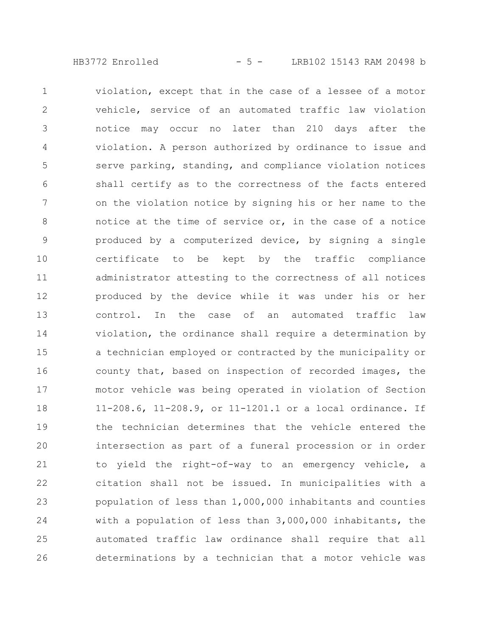HB3772 Enrolled - 5 - LRB102 15143 RAM 20498 b

violation, except that in the case of a lessee of a motor vehicle, service of an automated traffic law violation notice may occur no later than 210 days after the violation. A person authorized by ordinance to issue and serve parking, standing, and compliance violation notices shall certify as to the correctness of the facts entered on the violation notice by signing his or her name to the notice at the time of service or, in the case of a notice produced by a computerized device, by signing a single certificate to be kept by the traffic compliance administrator attesting to the correctness of all notices produced by the device while it was under his or her control. In the case of an automated traffic law violation, the ordinance shall require a determination by a technician employed or contracted by the municipality or county that, based on inspection of recorded images, the motor vehicle was being operated in violation of Section 11-208.6, 11-208.9, or 11-1201.1 or a local ordinance. If the technician determines that the vehicle entered the intersection as part of a funeral procession or in order to yield the right-of-way to an emergency vehicle, a citation shall not be issued. In municipalities with a population of less than 1,000,000 inhabitants and counties with a population of less than 3,000,000 inhabitants, the automated traffic law ordinance shall require that all determinations by a technician that a motor vehicle was 1 2 3 4 5 6 7 8 9 10 11 12 13 14 15 16 17 18 19 20 21 22 23 24 25 26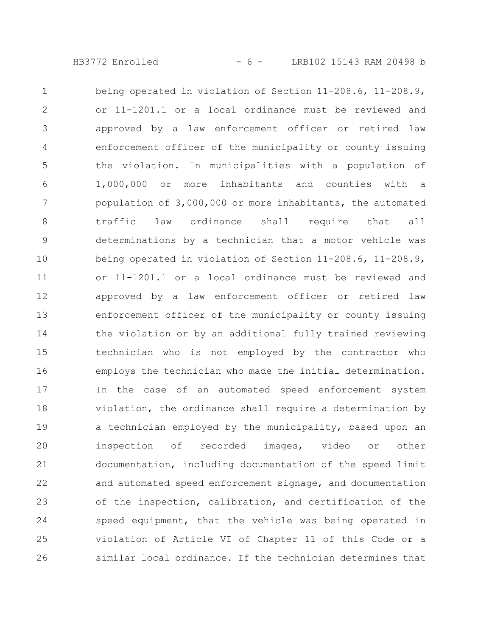HB3772 Enrolled - 6 - LRB102 15143 RAM 20498 b

being operated in violation of Section 11-208.6, 11-208.9, or 11-1201.1 or a local ordinance must be reviewed and approved by a law enforcement officer or retired law enforcement officer of the municipality or county issuing the violation. In municipalities with a population of 1,000,000 or more inhabitants and counties with a population of 3,000,000 or more inhabitants, the automated traffic law ordinance shall require that all determinations by a technician that a motor vehicle was being operated in violation of Section 11-208.6, 11-208.9, or 11-1201.1 or a local ordinance must be reviewed and approved by a law enforcement officer or retired law enforcement officer of the municipality or county issuing the violation or by an additional fully trained reviewing technician who is not employed by the contractor who employs the technician who made the initial determination. In the case of an automated speed enforcement system violation, the ordinance shall require a determination by a technician employed by the municipality, based upon an inspection of recorded images, video or other documentation, including documentation of the speed limit and automated speed enforcement signage, and documentation of the inspection, calibration, and certification of the speed equipment, that the vehicle was being operated in violation of Article VI of Chapter 11 of this Code or a similar local ordinance. If the technician determines that 1 2 3 4 5 6 7 8 9 10 11 12 13 14 15 16 17 18 19 20 21 22 23 24 25 26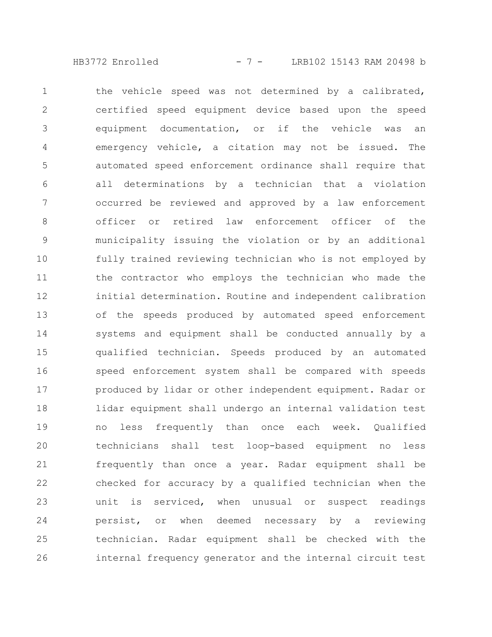HB3772 Enrolled - 7 - LRB102 15143 RAM 20498 b

the vehicle speed was not determined by a calibrated, certified speed equipment device based upon the speed equipment documentation, or if the vehicle was an emergency vehicle, a citation may not be issued. The automated speed enforcement ordinance shall require that all determinations by a technician that a violation occurred be reviewed and approved by a law enforcement officer or retired law enforcement officer of the municipality issuing the violation or by an additional fully trained reviewing technician who is not employed by the contractor who employs the technician who made the initial determination. Routine and independent calibration of the speeds produced by automated speed enforcement systems and equipment shall be conducted annually by a qualified technician. Speeds produced by an automated speed enforcement system shall be compared with speeds produced by lidar or other independent equipment. Radar or lidar equipment shall undergo an internal validation test no less frequently than once each week. Qualified technicians shall test loop-based equipment no less frequently than once a year. Radar equipment shall be checked for accuracy by a qualified technician when the unit is serviced, when unusual or suspect readings persist, or when deemed necessary by a reviewing technician. Radar equipment shall be checked with the internal frequency generator and the internal circuit test 1 2 3 4 5 6 7 8 9 10 11 12 13 14 15 16 17 18 19 20 21 22 23 24 25 26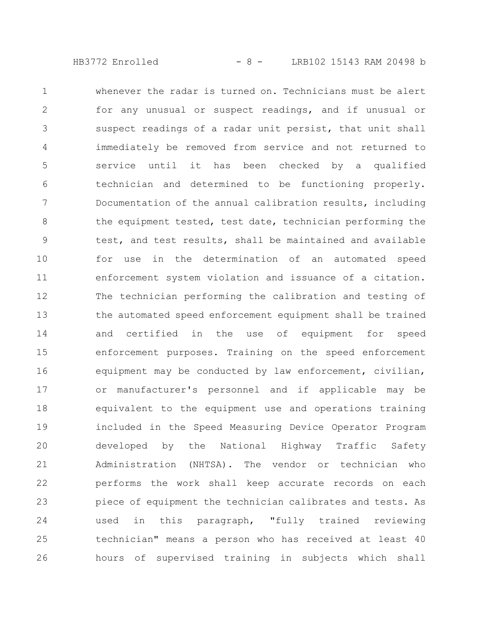HB3772 Enrolled - 8 - LRB102 15143 RAM 20498 b

whenever the radar is turned on. Technicians must be alert for any unusual or suspect readings, and if unusual or suspect readings of a radar unit persist, that unit shall immediately be removed from service and not returned to service until it has been checked by a qualified technician and determined to be functioning properly. Documentation of the annual calibration results, including the equipment tested, test date, technician performing the test, and test results, shall be maintained and available for use in the determination of an automated speed enforcement system violation and issuance of a citation. The technician performing the calibration and testing of the automated speed enforcement equipment shall be trained and certified in the use of equipment for speed enforcement purposes. Training on the speed enforcement equipment may be conducted by law enforcement, civilian, or manufacturer's personnel and if applicable may be equivalent to the equipment use and operations training included in the Speed Measuring Device Operator Program developed by the National Highway Traffic Safety Administration (NHTSA). The vendor or technician who performs the work shall keep accurate records on each piece of equipment the technician calibrates and tests. As used in this paragraph, "fully trained reviewing technician" means a person who has received at least 40 hours of supervised training in subjects which shall 1 2 3 4 5 6 7 8 9 10 11 12 13 14 15 16 17 18 19 20 21 22 23 24 25 26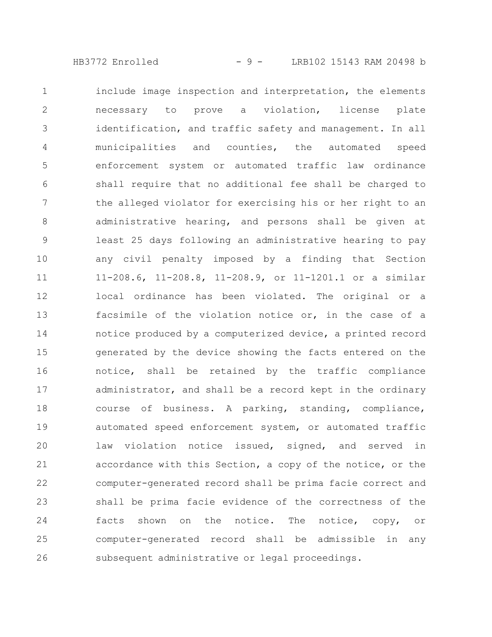HB3772 Enrolled - 9 - LRB102 15143 RAM 20498 b

include image inspection and interpretation, the elements necessary to prove a violation, license plate identification, and traffic safety and management. In all municipalities and counties, the automated speed enforcement system or automated traffic law ordinance shall require that no additional fee shall be charged to the alleged violator for exercising his or her right to an administrative hearing, and persons shall be given at least 25 days following an administrative hearing to pay any civil penalty imposed by a finding that Section 11-208.6, 11-208.8, 11-208.9, or 11-1201.1 or a similar local ordinance has been violated. The original or a facsimile of the violation notice or, in the case of a notice produced by a computerized device, a printed record generated by the device showing the facts entered on the notice, shall be retained by the traffic compliance administrator, and shall be a record kept in the ordinary course of business. A parking, standing, compliance, automated speed enforcement system, or automated traffic law violation notice issued, signed, and served in accordance with this Section, a copy of the notice, or the computer-generated record shall be prima facie correct and shall be prima facie evidence of the correctness of the facts shown on the notice. The notice, copy, or computer-generated record shall be admissible in any subsequent administrative or legal proceedings. 1 2 3 4 5 6 7 8 9 10 11 12 13 14 15 16 17 18 19 20 21 22 23 24 25 26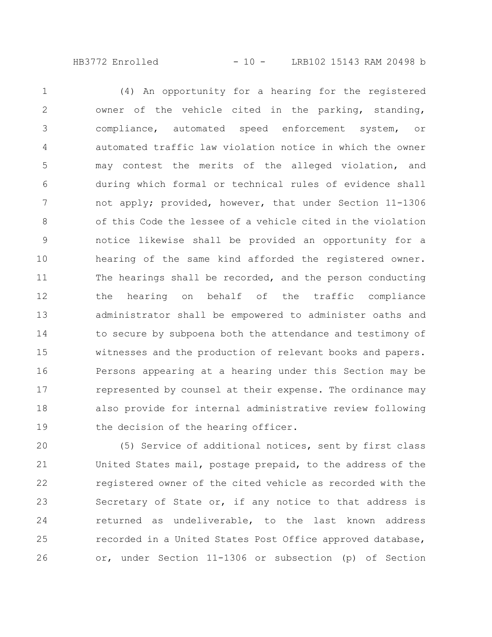HB3772 Enrolled - 10 - LRB102 15143 RAM 20498 b

(4) An opportunity for a hearing for the registered owner of the vehicle cited in the parking, standing, compliance, automated speed enforcement system, or automated traffic law violation notice in which the owner may contest the merits of the alleged violation, and during which formal or technical rules of evidence shall not apply; provided, however, that under Section 11-1306 of this Code the lessee of a vehicle cited in the violation notice likewise shall be provided an opportunity for a hearing of the same kind afforded the registered owner. The hearings shall be recorded, and the person conducting the hearing on behalf of the traffic compliance administrator shall be empowered to administer oaths and to secure by subpoena both the attendance and testimony of witnesses and the production of relevant books and papers. Persons appearing at a hearing under this Section may be represented by counsel at their expense. The ordinance may also provide for internal administrative review following the decision of the hearing officer. 1 2 3 4 5 6 7 8 9 10 11 12 13 14 15 16 17 18 19

(5) Service of additional notices, sent by first class United States mail, postage prepaid, to the address of the registered owner of the cited vehicle as recorded with the Secretary of State or, if any notice to that address is returned as undeliverable, to the last known address recorded in a United States Post Office approved database, or, under Section 11-1306 or subsection (p) of Section 20 21 22 23 24 25 26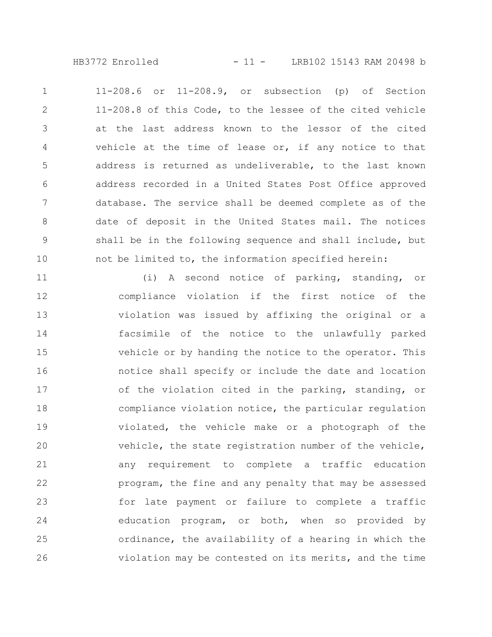HB3772 Enrolled - 11 - LRB102 15143 RAM 20498 b

11-208.6 or 11-208.9, or subsection (p) of Section 11-208.8 of this Code, to the lessee of the cited vehicle at the last address known to the lessor of the cited vehicle at the time of lease or, if any notice to that address is returned as undeliverable, to the last known address recorded in a United States Post Office approved database. The service shall be deemed complete as of the date of deposit in the United States mail. The notices shall be in the following sequence and shall include, but not be limited to, the information specified herein: 1 2 3 4 5 6 7 8 9 10

(i) A second notice of parking, standing, or compliance violation if the first notice of the violation was issued by affixing the original or a facsimile of the notice to the unlawfully parked vehicle or by handing the notice to the operator. This notice shall specify or include the date and location of the violation cited in the parking, standing, or compliance violation notice, the particular regulation violated, the vehicle make or a photograph of the vehicle, the state registration number of the vehicle, any requirement to complete a traffic education program, the fine and any penalty that may be assessed for late payment or failure to complete a traffic education program, or both, when so provided by ordinance, the availability of a hearing in which the violation may be contested on its merits, and the time 11 12 13 14 15 16 17 18 19 20 21 22 23 24 25 26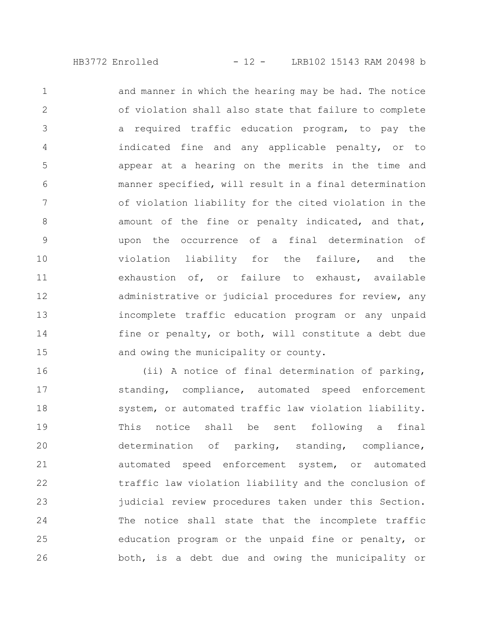and manner in which the hearing may be had. The notice of violation shall also state that failure to complete a required traffic education program, to pay the indicated fine and any applicable penalty, or to appear at a hearing on the merits in the time and manner specified, will result in a final determination of violation liability for the cited violation in the amount of the fine or penalty indicated, and that, upon the occurrence of a final determination of violation liability for the failure, and the exhaustion of, or failure to exhaust, available administrative or judicial procedures for review, any incomplete traffic education program or any unpaid fine or penalty, or both, will constitute a debt due and owing the municipality or county. 1 2 3 4 5 6 7 8 9 10 11 12 13 14 15

(ii) A notice of final determination of parking, standing, compliance, automated speed enforcement system, or automated traffic law violation liability. This notice shall be sent following a final determination of parking, standing, compliance, automated speed enforcement system, or automated traffic law violation liability and the conclusion of judicial review procedures taken under this Section. The notice shall state that the incomplete traffic education program or the unpaid fine or penalty, or both, is a debt due and owing the municipality or 16 17 18 19 20 21 22 23 24 25 26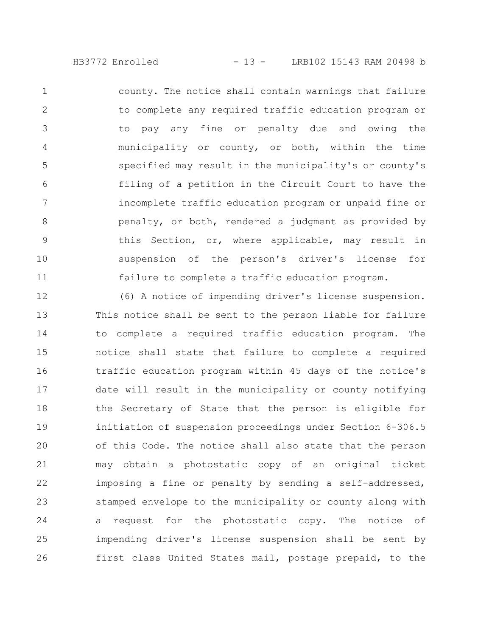HB3772 Enrolled - 13 - LRB102 15143 RAM 20498 b

county. The notice shall contain warnings that failure to complete any required traffic education program or to pay any fine or penalty due and owing the municipality or county, or both, within the time specified may result in the municipality's or county's filing of a petition in the Circuit Court to have the incomplete traffic education program or unpaid fine or penalty, or both, rendered a judgment as provided by this Section, or, where applicable, may result in suspension of the person's driver's license for failure to complete a traffic education program. 1 2 3 4 5 6 7 8 9 10 11

(6) A notice of impending driver's license suspension. This notice shall be sent to the person liable for failure to complete a required traffic education program. The notice shall state that failure to complete a required traffic education program within 45 days of the notice's date will result in the municipality or county notifying the Secretary of State that the person is eligible for initiation of suspension proceedings under Section 6-306.5 of this Code. The notice shall also state that the person may obtain a photostatic copy of an original ticket imposing a fine or penalty by sending a self-addressed, stamped envelope to the municipality or county along with a request for the photostatic copy. The notice of impending driver's license suspension shall be sent by first class United States mail, postage prepaid, to the 12 13 14 15 16 17 18 19 20 21 22 23 24 25 26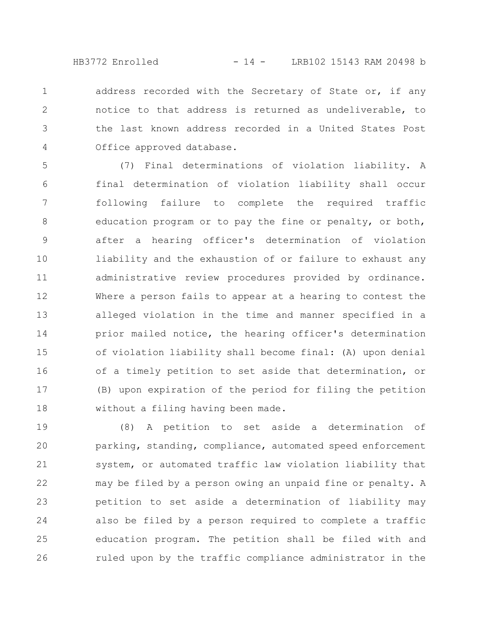HB3772 Enrolled - 14 - LRB102 15143 RAM 20498 b

address recorded with the Secretary of State or, if any notice to that address is returned as undeliverable, to the last known address recorded in a United States Post Office approved database. 1 2 3 4

(7) Final determinations of violation liability. A final determination of violation liability shall occur following failure to complete the required traffic education program or to pay the fine or penalty, or both, after a hearing officer's determination of violation liability and the exhaustion of or failure to exhaust any administrative review procedures provided by ordinance. Where a person fails to appear at a hearing to contest the alleged violation in the time and manner specified in a prior mailed notice, the hearing officer's determination of violation liability shall become final: (A) upon denial of a timely petition to set aside that determination, or (B) upon expiration of the period for filing the petition without a filing having been made. 5 6 7 8 9 10 11 12 13 14 15 16 17 18

(8) A petition to set aside a determination of parking, standing, compliance, automated speed enforcement system, or automated traffic law violation liability that may be filed by a person owing an unpaid fine or penalty. A petition to set aside a determination of liability may also be filed by a person required to complete a traffic education program. The petition shall be filed with and ruled upon by the traffic compliance administrator in the 19 20 21 22 23 24 25 26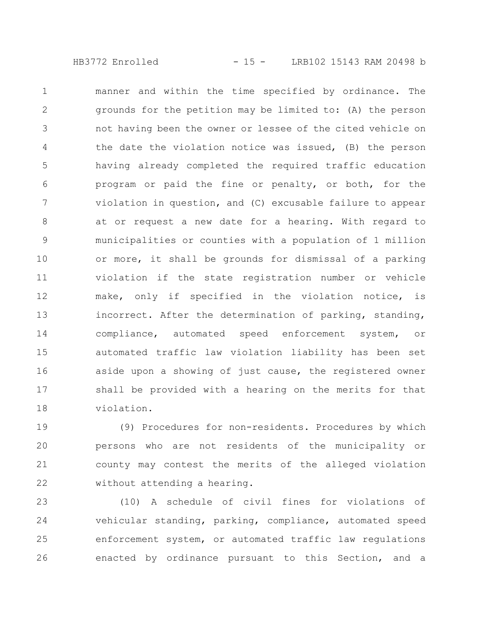HB3772 Enrolled - 15 - LRB102 15143 RAM 20498 b

manner and within the time specified by ordinance. The grounds for the petition may be limited to: (A) the person not having been the owner or lessee of the cited vehicle on the date the violation notice was issued, (B) the person having already completed the required traffic education program or paid the fine or penalty, or both, for the violation in question, and (C) excusable failure to appear at or request a new date for a hearing. With regard to municipalities or counties with a population of 1 million or more, it shall be grounds for dismissal of a parking violation if the state registration number or vehicle make, only if specified in the violation notice, is incorrect. After the determination of parking, standing, compliance, automated speed enforcement system, or automated traffic law violation liability has been set aside upon a showing of just cause, the registered owner shall be provided with a hearing on the merits for that violation. 1 2 3 4 5 6 7 8 9 10 11 12 13 14 15 16 17 18

(9) Procedures for non-residents. Procedures by which persons who are not residents of the municipality or county may contest the merits of the alleged violation without attending a hearing. 19 20 21 22

(10) A schedule of civil fines for violations of vehicular standing, parking, compliance, automated speed enforcement system, or automated traffic law regulations enacted by ordinance pursuant to this Section, and a 23 24 25 26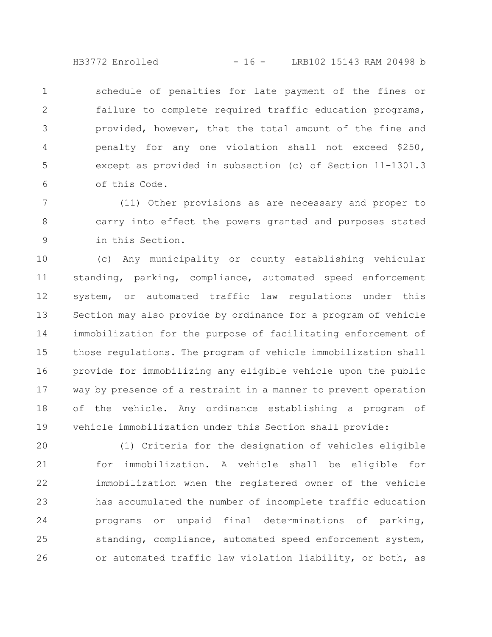HB3772 Enrolled - 16 - LRB102 15143 RAM 20498 b

schedule of penalties for late payment of the fines or failure to complete required traffic education programs, provided, however, that the total amount of the fine and penalty for any one violation shall not exceed \$250, except as provided in subsection (c) of Section 11-1301.3 of this Code. 1 2 3 4 5 6

(11) Other provisions as are necessary and proper to carry into effect the powers granted and purposes stated in this Section. 7 8 9

(c) Any municipality or county establishing vehicular standing, parking, compliance, automated speed enforcement system, or automated traffic law regulations under this Section may also provide by ordinance for a program of vehicle immobilization for the purpose of facilitating enforcement of those regulations. The program of vehicle immobilization shall provide for immobilizing any eligible vehicle upon the public way by presence of a restraint in a manner to prevent operation of the vehicle. Any ordinance establishing a program of vehicle immobilization under this Section shall provide: 10 11 12 13 14 15 16 17 18 19

(1) Criteria for the designation of vehicles eligible for immobilization. A vehicle shall be eligible for immobilization when the registered owner of the vehicle has accumulated the number of incomplete traffic education programs or unpaid final determinations of parking, standing, compliance, automated speed enforcement system, or automated traffic law violation liability, or both, as 20 21 22 23 24 25 26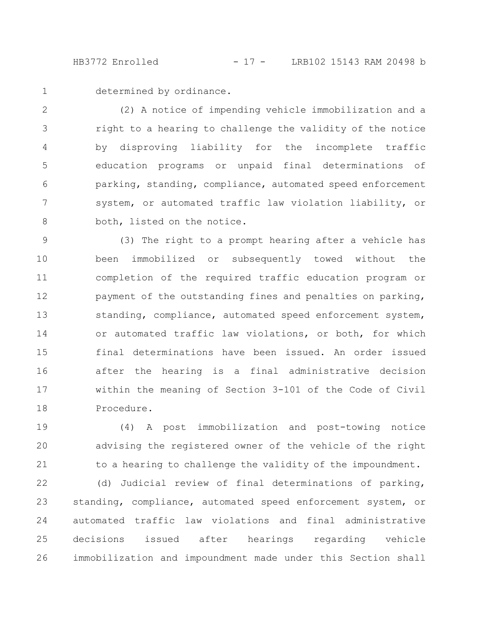HB3772 Enrolled - 17 - LRB102 15143 RAM 20498 b

1

determined by ordinance.

(2) A notice of impending vehicle immobilization and a right to a hearing to challenge the validity of the notice by disproving liability for the incomplete traffic education programs or unpaid final determinations of parking, standing, compliance, automated speed enforcement system, or automated traffic law violation liability, or both, listed on the notice. 2 3 4 5 6 7 8

(3) The right to a prompt hearing after a vehicle has been immobilized or subsequently towed without the completion of the required traffic education program or payment of the outstanding fines and penalties on parking, standing, compliance, automated speed enforcement system, or automated traffic law violations, or both, for which final determinations have been issued. An order issued after the hearing is a final administrative decision within the meaning of Section 3-101 of the Code of Civil Procedure. 9 10 11 12 13 14 15 16 17 18

(4) A post immobilization and post-towing notice advising the registered owner of the vehicle of the right to a hearing to challenge the validity of the impoundment. 19 20 21

(d) Judicial review of final determinations of parking, standing, compliance, automated speed enforcement system, or automated traffic law violations and final administrative decisions issued after hearings regarding vehicle immobilization and impoundment made under this Section shall 22 23 24 25 26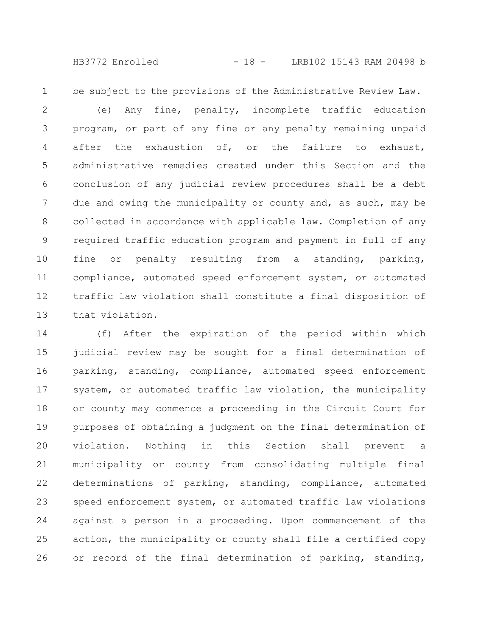HB3772 Enrolled - 18 - LRB102 15143 RAM 20498 b

be subject to the provisions of the Administrative Review Law. 1

(e) Any fine, penalty, incomplete traffic education program, or part of any fine or any penalty remaining unpaid after the exhaustion of, or the failure to exhaust, administrative remedies created under this Section and the conclusion of any judicial review procedures shall be a debt due and owing the municipality or county and, as such, may be collected in accordance with applicable law. Completion of any required traffic education program and payment in full of any fine or penalty resulting from a standing, parking, compliance, automated speed enforcement system, or automated traffic law violation shall constitute a final disposition of that violation. 2 3 4 5 6 7 8 9 10 11 12 13

(f) After the expiration of the period within which judicial review may be sought for a final determination of parking, standing, compliance, automated speed enforcement system, or automated traffic law violation, the municipality or county may commence a proceeding in the Circuit Court for purposes of obtaining a judgment on the final determination of violation. Nothing in this Section shall prevent a municipality or county from consolidating multiple final determinations of parking, standing, compliance, automated speed enforcement system, or automated traffic law violations against a person in a proceeding. Upon commencement of the action, the municipality or county shall file a certified copy or record of the final determination of parking, standing, 14 15 16 17 18 19 20 21 22 23 24 25 26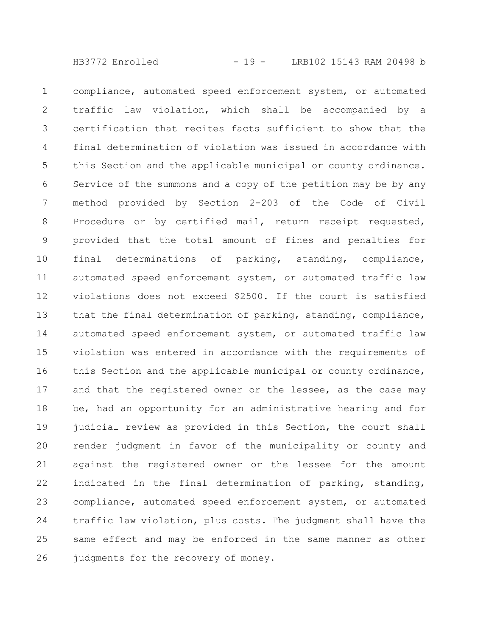HB3772 Enrolled - 19 - LRB102 15143 RAM 20498 b

compliance, automated speed enforcement system, or automated traffic law violation, which shall be accompanied by a certification that recites facts sufficient to show that the final determination of violation was issued in accordance with this Section and the applicable municipal or county ordinance. Service of the summons and a copy of the petition may be by any method provided by Section 2-203 of the Code of Civil Procedure or by certified mail, return receipt requested, provided that the total amount of fines and penalties for final determinations of parking, standing, compliance, automated speed enforcement system, or automated traffic law violations does not exceed \$2500. If the court is satisfied that the final determination of parking, standing, compliance, automated speed enforcement system, or automated traffic law violation was entered in accordance with the requirements of this Section and the applicable municipal or county ordinance, and that the registered owner or the lessee, as the case may be, had an opportunity for an administrative hearing and for judicial review as provided in this Section, the court shall render judgment in favor of the municipality or county and against the registered owner or the lessee for the amount indicated in the final determination of parking, standing, compliance, automated speed enforcement system, or automated traffic law violation, plus costs. The judgment shall have the same effect and may be enforced in the same manner as other judgments for the recovery of money. 1 2 3 4 5 6 7 8 9 10 11 12 13 14 15 16 17 18 19 20 21 22 23 24 25 26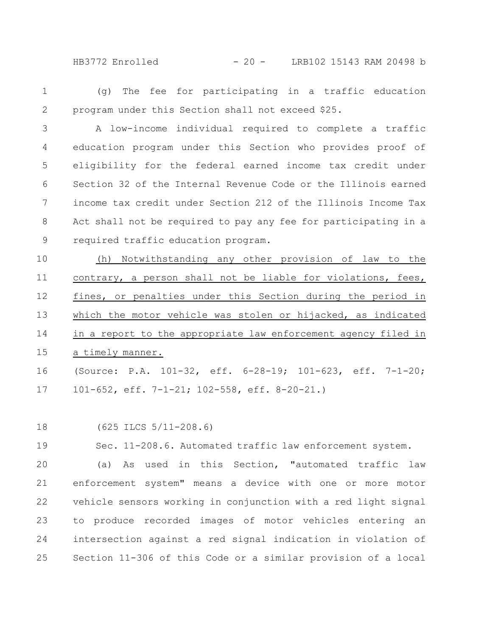HB3772 Enrolled - 20 - LRB102 15143 RAM 20498 b

(g) The fee for participating in a traffic education program under this Section shall not exceed \$25. 1 2

A low-income individual required to complete a traffic education program under this Section who provides proof of eligibility for the federal earned income tax credit under Section 32 of the Internal Revenue Code or the Illinois earned income tax credit under Section 212 of the Illinois Income Tax Act shall not be required to pay any fee for participating in a required traffic education program. 3 4 5 6 7 8 9

(h) Notwithstanding any other provision of law to the contrary, a person shall not be liable for violations, fees, fines, or penalties under this Section during the period in which the motor vehicle was stolen or hijacked, as indicated in a report to the appropriate law enforcement agency filed in a timely manner. 10 11 12 13 14 15

(Source: P.A. 101-32, eff. 6-28-19; 101-623, eff. 7-1-20; 101-652, eff. 7-1-21; 102-558, eff. 8-20-21.) 16 17

(625 ILCS 5/11-208.6) 18

Sec. 11-208.6. Automated traffic law enforcement system. 19

(a) As used in this Section, "automated traffic law enforcement system" means a device with one or more motor vehicle sensors working in conjunction with a red light signal to produce recorded images of motor vehicles entering an intersection against a red signal indication in violation of Section 11-306 of this Code or a similar provision of a local 20 21 22 23 24 25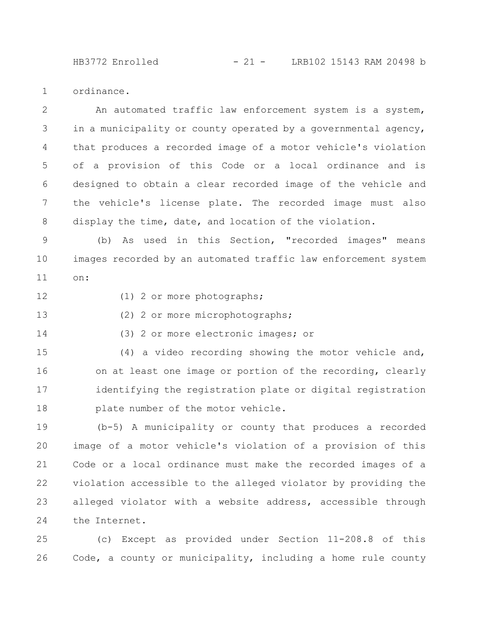HB3772 Enrolled - 21 - LRB102 15143 RAM 20498 b

ordinance. 1

An automated traffic law enforcement system is a system, in a municipality or county operated by a governmental agency, that produces a recorded image of a motor vehicle's violation of a provision of this Code or a local ordinance and is designed to obtain a clear recorded image of the vehicle and the vehicle's license plate. The recorded image must also display the time, date, and location of the violation. 2 3 4 5 6 7 8

(b) As used in this Section, "recorded images" means images recorded by an automated traffic law enforcement system on: 9 10 11

12

(1) 2 or more photographs;

(2) 2 or more microphotographs; 13

(3) 2 or more electronic images; or 14

(4) a video recording showing the motor vehicle and, on at least one image or portion of the recording, clearly identifying the registration plate or digital registration plate number of the motor vehicle. 15 16 17 18

(b-5) A municipality or county that produces a recorded image of a motor vehicle's violation of a provision of this Code or a local ordinance must make the recorded images of a violation accessible to the alleged violator by providing the alleged violator with a website address, accessible through the Internet. 19 20 21 22 23 24

(c) Except as provided under Section 11-208.8 of this Code, a county or municipality, including a home rule county 25 26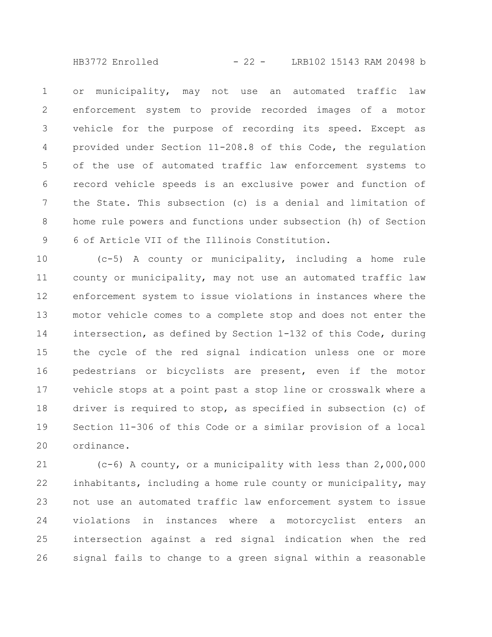HB3772 Enrolled - 22 - LRB102 15143 RAM 20498 b

or municipality, may not use an automated traffic law enforcement system to provide recorded images of a motor vehicle for the purpose of recording its speed. Except as provided under Section 11-208.8 of this Code, the regulation of the use of automated traffic law enforcement systems to record vehicle speeds is an exclusive power and function of the State. This subsection (c) is a denial and limitation of home rule powers and functions under subsection (h) of Section 6 of Article VII of the Illinois Constitution. 1 2 3 4 5 6 7 8 9

(c-5) A county or municipality, including a home rule county or municipality, may not use an automated traffic law enforcement system to issue violations in instances where the motor vehicle comes to a complete stop and does not enter the intersection, as defined by Section 1-132 of this Code, during the cycle of the red signal indication unless one or more pedestrians or bicyclists are present, even if the motor vehicle stops at a point past a stop line or crosswalk where a driver is required to stop, as specified in subsection (c) of Section 11-306 of this Code or a similar provision of a local ordinance. 10 11 12 13 14 15 16 17 18 19 20

(c-6) A county, or a municipality with less than 2,000,000 inhabitants, including a home rule county or municipality, may not use an automated traffic law enforcement system to issue violations in instances where a motorcyclist enters an intersection against a red signal indication when the red signal fails to change to a green signal within a reasonable 21 22 23 24 25 26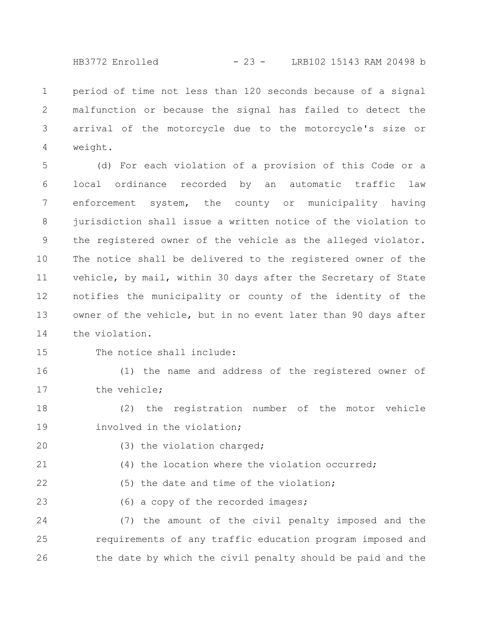HB3772 Enrolled - 23 - LRB102 15143 RAM 20498 b

period of time not less than 120 seconds because of a signal malfunction or because the signal has failed to detect the arrival of the motorcycle due to the motorcycle's size or weight. 1 2 3 4

(d) For each violation of a provision of this Code or a local ordinance recorded by an automatic traffic law enforcement system, the county or municipality having jurisdiction shall issue a written notice of the violation to the registered owner of the vehicle as the alleged violator. The notice shall be delivered to the registered owner of the vehicle, by mail, within 30 days after the Secretary of State notifies the municipality or county of the identity of the owner of the vehicle, but in no event later than 90 days after the violation. 5 6 7 8 9 10 11 12 13 14

15

The notice shall include:

(1) the name and address of the registered owner of the vehicle; 16 17

(2) the registration number of the motor vehicle involved in the violation; 18 19

20

(3) the violation charged;

(4) the location where the violation occurred; 21

(5) the date and time of the violation; 22

(6) a copy of the recorded images; 23

(7) the amount of the civil penalty imposed and the requirements of any traffic education program imposed and the date by which the civil penalty should be paid and the 24 25 26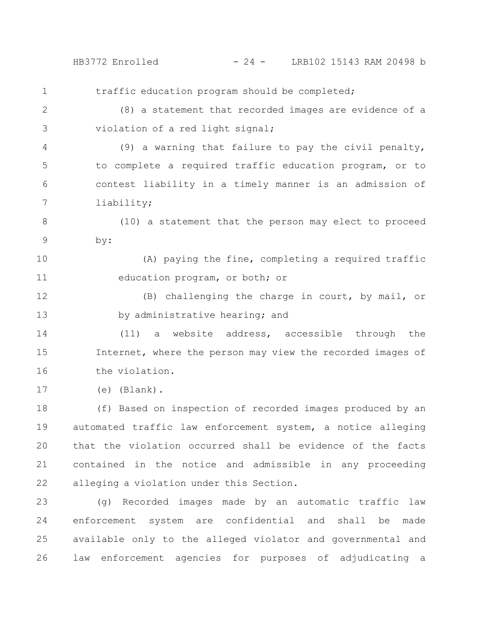HB3772 Enrolled - 24 - LRB102 15143 RAM 20498 b

traffic education program should be completed; (8) a statement that recorded images are evidence of a violation of a red light signal; (9) a warning that failure to pay the civil penalty, to complete a required traffic education program, or to contest liability in a timely manner is an admission of liability; (10) a statement that the person may elect to proceed by: (A) paying the fine, completing a required traffic education program, or both; or (B) challenging the charge in court, by mail, or by administrative hearing; and (11) a website address, accessible through the Internet, where the person may view the recorded images of the violation. (e) (Blank). (f) Based on inspection of recorded images produced by an automated traffic law enforcement system, a notice alleging that the violation occurred shall be evidence of the facts contained in the notice and admissible in any proceeding alleging a violation under this Section. (g) Recorded images made by an automatic traffic law 1 2 3 4 5 6 7 8 9 10 11 12 13 14 15 16 17 18 19 20 21 22 23

enforcement system are confidential and shall be made available only to the alleged violator and governmental and law enforcement agencies for purposes of adjudicating a 24 25 26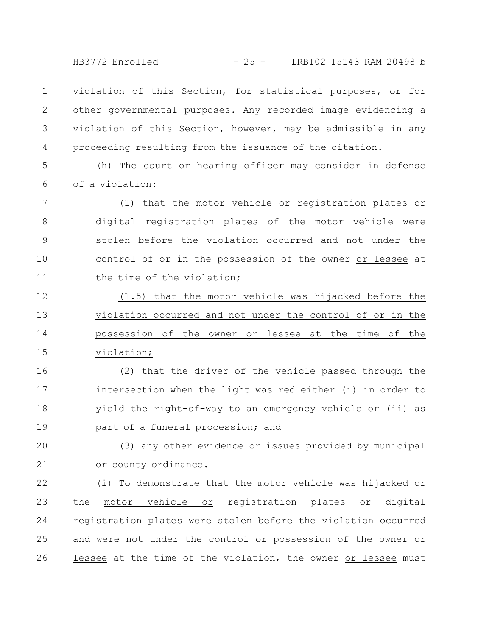HB3772 Enrolled - 25 - LRB102 15143 RAM 20498 b

violation of this Section, for statistical purposes, or for other governmental purposes. Any recorded image evidencing a violation of this Section, however, may be admissible in any proceeding resulting from the issuance of the citation. 1 2 3 4

(h) The court or hearing officer may consider in defense of a violation: 5 6

(1) that the motor vehicle or registration plates or digital registration plates of the motor vehicle were stolen before the violation occurred and not under the control of or in the possession of the owner or lessee at the time of the violation; 7 8 9 10 11

(1.5) that the motor vehicle was hijacked before the violation occurred and not under the control of or in the possession of the owner or lessee at the time of the violation; 12 13 14 15

(2) that the driver of the vehicle passed through the intersection when the light was red either (i) in order to yield the right-of-way to an emergency vehicle or (ii) as part of a funeral procession; and 16 17 18 19

(3) any other evidence or issues provided by municipal or county ordinance. 20 21

(i) To demonstrate that the motor vehicle was hijacked or the motor vehicle or registration plates or digital registration plates were stolen before the violation occurred and were not under the control or possession of the owner or lessee at the time of the violation, the owner or lessee must 22 23 24 25 26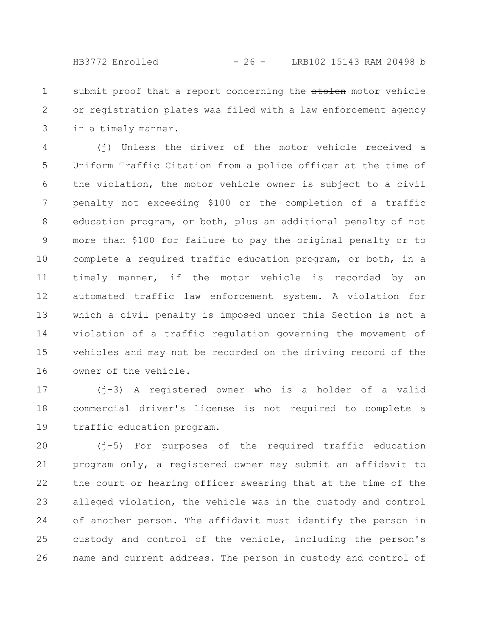submit proof that a report concerning the stolen motor vehicle or registration plates was filed with a law enforcement agency in a timely manner. 1 2 3

(j) Unless the driver of the motor vehicle received a Uniform Traffic Citation from a police officer at the time of the violation, the motor vehicle owner is subject to a civil penalty not exceeding \$100 or the completion of a traffic education program, or both, plus an additional penalty of not more than \$100 for failure to pay the original penalty or to complete a required traffic education program, or both, in a timely manner, if the motor vehicle is recorded by an automated traffic law enforcement system. A violation for which a civil penalty is imposed under this Section is not a violation of a traffic regulation governing the movement of vehicles and may not be recorded on the driving record of the owner of the vehicle. 4 5 6 7 8 9 10 11 12 13 14 15 16

(j-3) A registered owner who is a holder of a valid commercial driver's license is not required to complete a traffic education program. 17 18 19

(j-5) For purposes of the required traffic education program only, a registered owner may submit an affidavit to the court or hearing officer swearing that at the time of the alleged violation, the vehicle was in the custody and control of another person. The affidavit must identify the person in custody and control of the vehicle, including the person's name and current address. The person in custody and control of 20 21 22 23 24 25 26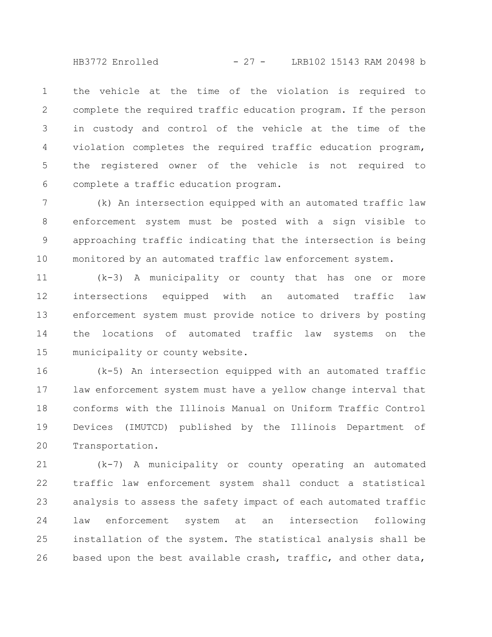HB3772 Enrolled - 27 - LRB102 15143 RAM 20498 b

the vehicle at the time of the violation is required to complete the required traffic education program. If the person in custody and control of the vehicle at the time of the violation completes the required traffic education program, the registered owner of the vehicle is not required to complete a traffic education program. 1 2 3 4 5 6

(k) An intersection equipped with an automated traffic law enforcement system must be posted with a sign visible to approaching traffic indicating that the intersection is being monitored by an automated traffic law enforcement system. 7 8 9 10

(k-3) A municipality or county that has one or more intersections equipped with an automated traffic law enforcement system must provide notice to drivers by posting the locations of automated traffic law systems on the municipality or county website. 11 12 13 14 15

(k-5) An intersection equipped with an automated traffic law enforcement system must have a yellow change interval that conforms with the Illinois Manual on Uniform Traffic Control Devices (IMUTCD) published by the Illinois Department of Transportation. 16 17 18 19 20

(k-7) A municipality or county operating an automated traffic law enforcement system shall conduct a statistical analysis to assess the safety impact of each automated traffic law enforcement system at an intersection following installation of the system. The statistical analysis shall be based upon the best available crash, traffic, and other data, 21 22 23 24 25 26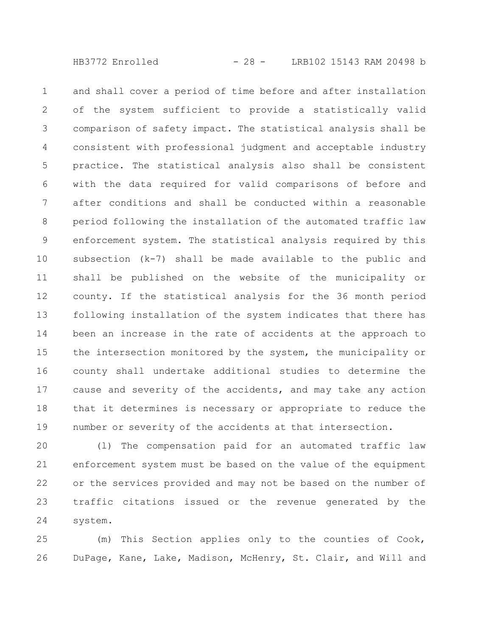and shall cover a period of time before and after installation of the system sufficient to provide a statistically valid comparison of safety impact. The statistical analysis shall be consistent with professional judgment and acceptable industry practice. The statistical analysis also shall be consistent with the data required for valid comparisons of before and after conditions and shall be conducted within a reasonable period following the installation of the automated traffic law enforcement system. The statistical analysis required by this subsection (k-7) shall be made available to the public and shall be published on the website of the municipality or county. If the statistical analysis for the 36 month period following installation of the system indicates that there has been an increase in the rate of accidents at the approach to the intersection monitored by the system, the municipality or county shall undertake additional studies to determine the cause and severity of the accidents, and may take any action that it determines is necessary or appropriate to reduce the number or severity of the accidents at that intersection. 1 2 3 4 5 6 7 8 9 10 11 12 13 14 15 16 17 18 19

(l) The compensation paid for an automated traffic law enforcement system must be based on the value of the equipment or the services provided and may not be based on the number of traffic citations issued or the revenue generated by the system. 20 21 22 23 24

(m) This Section applies only to the counties of Cook, DuPage, Kane, Lake, Madison, McHenry, St. Clair, and Will and 25 26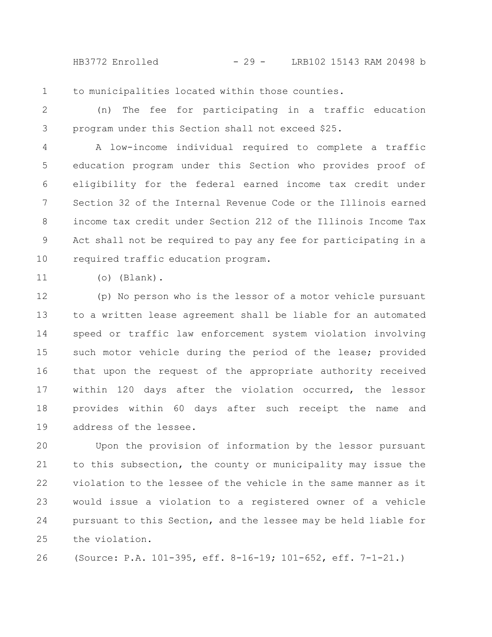HB3772 Enrolled - 29 - LRB102 15143 RAM 20498 b

to municipalities located within those counties. 1

(n) The fee for participating in a traffic education program under this Section shall not exceed \$25. 2 3

A low-income individual required to complete a traffic education program under this Section who provides proof of eligibility for the federal earned income tax credit under Section 32 of the Internal Revenue Code or the Illinois earned income tax credit under Section 212 of the Illinois Income Tax Act shall not be required to pay any fee for participating in a required traffic education program. 4 5 6 7 8 9 10

11

(o) (Blank).

(p) No person who is the lessor of a motor vehicle pursuant to a written lease agreement shall be liable for an automated speed or traffic law enforcement system violation involving such motor vehicle during the period of the lease; provided that upon the request of the appropriate authority received within 120 days after the violation occurred, the lessor provides within 60 days after such receipt the name and address of the lessee. 12 13 14 15 16 17 18 19

Upon the provision of information by the lessor pursuant to this subsection, the county or municipality may issue the violation to the lessee of the vehicle in the same manner as it would issue a violation to a registered owner of a vehicle pursuant to this Section, and the lessee may be held liable for the violation. 20 21 22 23 24 25

(Source: P.A. 101-395, eff. 8-16-19; 101-652, eff. 7-1-21.) 26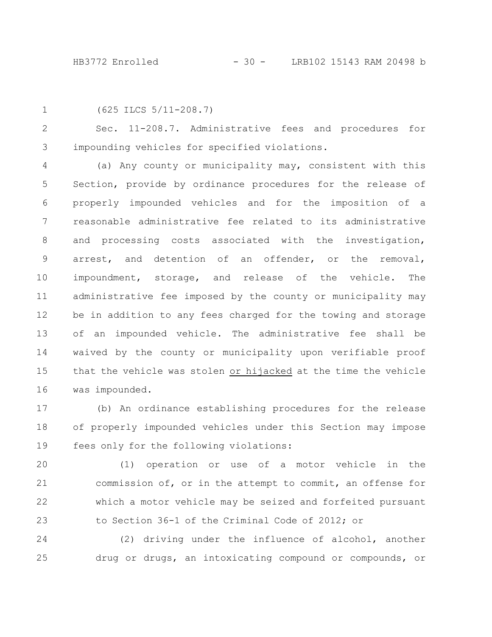```
1
```

```
(625 ILCS 5/11-208.7)
```
Sec. 11-208.7. Administrative fees and procedures for impounding vehicles for specified violations. 2 3

(a) Any county or municipality may, consistent with this Section, provide by ordinance procedures for the release of properly impounded vehicles and for the imposition of a reasonable administrative fee related to its administrative and processing costs associated with the investigation, arrest, and detention of an offender, or the removal, impoundment, storage, and release of the vehicle. The administrative fee imposed by the county or municipality may be in addition to any fees charged for the towing and storage of an impounded vehicle. The administrative fee shall be waived by the county or municipality upon verifiable proof that the vehicle was stolen or hijacked at the time the vehicle was impounded. 4 5 6 7 8 9 10 11 12 13 14 15 16

(b) An ordinance establishing procedures for the release of properly impounded vehicles under this Section may impose fees only for the following violations: 17 18 19

(1) operation or use of a motor vehicle in the commission of, or in the attempt to commit, an offense for which a motor vehicle may be seized and forfeited pursuant to Section 36-1 of the Criminal Code of 2012; or 20 21 22 23

(2) driving under the influence of alcohol, another drug or drugs, an intoxicating compound or compounds, or 24 25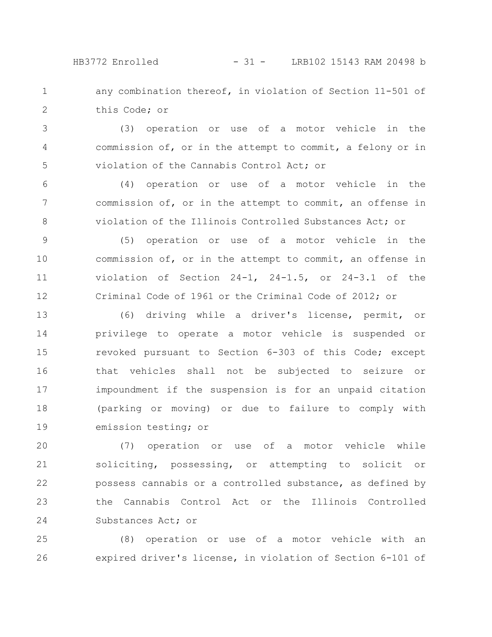HB3772 Enrolled - 31 - LRB102 15143 RAM 20498 b

any combination thereof, in violation of Section 11-501 of this Code; or 1 2

(3) operation or use of a motor vehicle in the commission of, or in the attempt to commit, a felony or in violation of the Cannabis Control Act; or 3 4 5

(4) operation or use of a motor vehicle in the commission of, or in the attempt to commit, an offense in violation of the Illinois Controlled Substances Act; or 6 7 8

(5) operation or use of a motor vehicle in the commission of, or in the attempt to commit, an offense in violation of Section 24-1, 24-1.5, or 24-3.1 of the Criminal Code of 1961 or the Criminal Code of 2012; or 9 10 11 12

(6) driving while a driver's license, permit, or privilege to operate a motor vehicle is suspended or revoked pursuant to Section 6-303 of this Code; except that vehicles shall not be subjected to seizure or impoundment if the suspension is for an unpaid citation (parking or moving) or due to failure to comply with emission testing; or 13 14 15 16 17 18 19

(7) operation or use of a motor vehicle while soliciting, possessing, or attempting to solicit or possess cannabis or a controlled substance, as defined by the Cannabis Control Act or the Illinois Controlled Substances Act; or 20 21 22 23 24

(8) operation or use of a motor vehicle with an expired driver's license, in violation of Section 6-101 of 25 26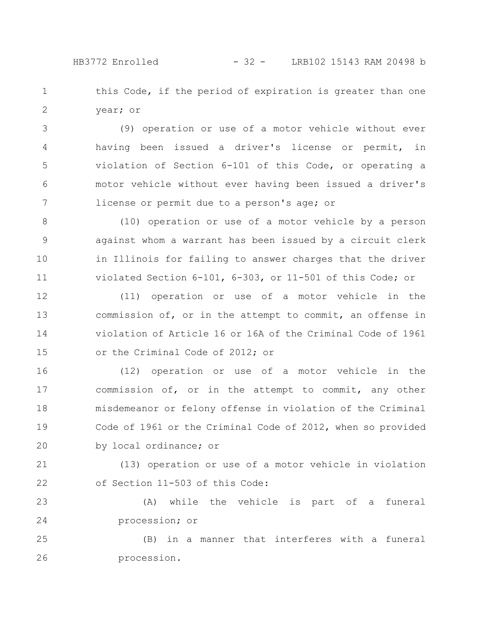this Code, if the period of expiration is greater than one year; or 1 2

(9) operation or use of a motor vehicle without ever having been issued a driver's license or permit, in violation of Section 6-101 of this Code, or operating a motor vehicle without ever having been issued a driver's license or permit due to a person's age; or 3 4 5 6 7

(10) operation or use of a motor vehicle by a person against whom a warrant has been issued by a circuit clerk in Illinois for failing to answer charges that the driver violated Section 6-101, 6-303, or 11-501 of this Code; or 8 9 10 11

(11) operation or use of a motor vehicle in the commission of, or in the attempt to commit, an offense in violation of Article 16 or 16A of the Criminal Code of 1961 or the Criminal Code of 2012; or 12 13 14 15

(12) operation or use of a motor vehicle in the commission of, or in the attempt to commit, any other misdemeanor or felony offense in violation of the Criminal Code of 1961 or the Criminal Code of 2012, when so provided by local ordinance; or 16 17 18 19 20

(13) operation or use of a motor vehicle in violation of Section 11-503 of this Code: 21 22

(A) while the vehicle is part of a funeral procession; or 23 24

(B) in a manner that interferes with a funeral procession. 25 26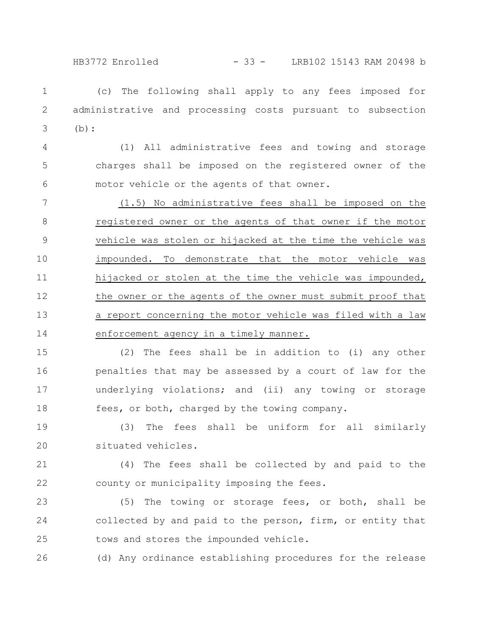HB3772 Enrolled - 33 - LRB102 15143 RAM 20498 b

(c) The following shall apply to any fees imposed for administrative and processing costs pursuant to subsection (b): 1 2 3

(1) All administrative fees and towing and storage charges shall be imposed on the registered owner of the motor vehicle or the agents of that owner. 4 5 6

(1.5) No administrative fees shall be imposed on the registered owner or the agents of that owner if the motor vehicle was stolen or hijacked at the time the vehicle was impounded. To demonstrate that the motor vehicle was hijacked or stolen at the time the vehicle was impounded, the owner or the agents of the owner must submit proof that a report concerning the motor vehicle was filed with a law enforcement agency in a timely manner. 7 8 9 10 11 12 13 14

(2) The fees shall be in addition to (i) any other penalties that may be assessed by a court of law for the underlying violations; and (ii) any towing or storage fees, or both, charged by the towing company. 15 16 17 18

(3) The fees shall be uniform for all similarly situated vehicles. 19 20

(4) The fees shall be collected by and paid to the county or municipality imposing the fees. 21 22

(5) The towing or storage fees, or both, shall be collected by and paid to the person, firm, or entity that tows and stores the impounded vehicle. 23 24 25

(d) Any ordinance establishing procedures for the release 26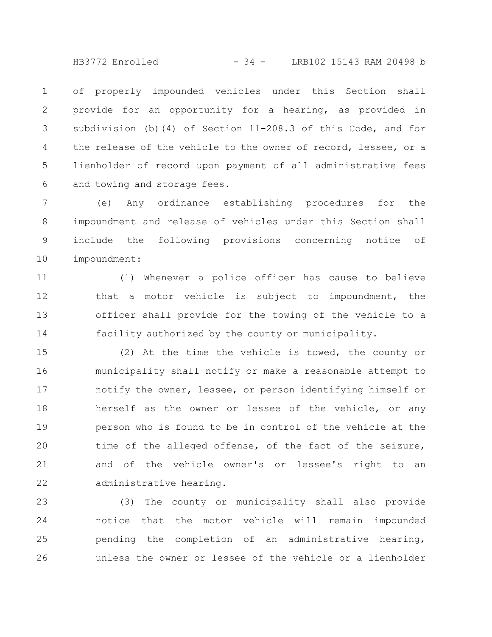HB3772 Enrolled - 34 - LRB102 15143 RAM 20498 b

of properly impounded vehicles under this Section shall provide for an opportunity for a hearing, as provided in subdivision (b)(4) of Section 11-208.3 of this Code, and for the release of the vehicle to the owner of record, lessee, or a lienholder of record upon payment of all administrative fees and towing and storage fees. 1 2 3 4 5 6

(e) Any ordinance establishing procedures for the impoundment and release of vehicles under this Section shall include the following provisions concerning notice of impoundment: 7 8 9 10

(1) Whenever a police officer has cause to believe that a motor vehicle is subject to impoundment, the officer shall provide for the towing of the vehicle to a facility authorized by the county or municipality. 11 12 13 14

(2) At the time the vehicle is towed, the county or municipality shall notify or make a reasonable attempt to notify the owner, lessee, or person identifying himself or herself as the owner or lessee of the vehicle, or any person who is found to be in control of the vehicle at the time of the alleged offense, of the fact of the seizure, and of the vehicle owner's or lessee's right to an administrative hearing. 15 16 17 18 19 20 21 22

(3) The county or municipality shall also provide notice that the motor vehicle will remain impounded pending the completion of an administrative hearing, unless the owner or lessee of the vehicle or a lienholder 23 24 25 26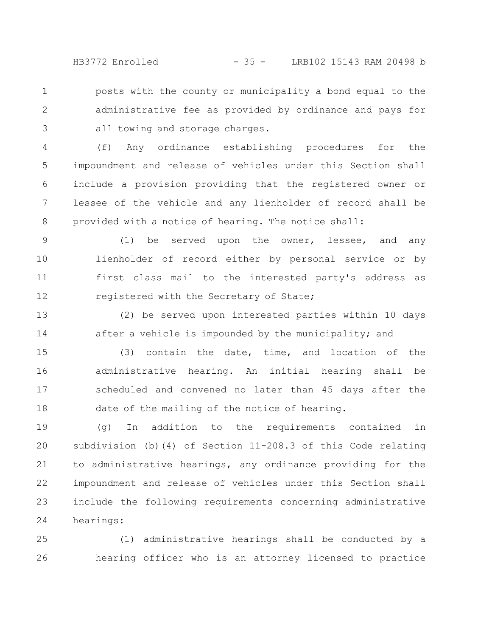HB3772 Enrolled - 35 - LRB102 15143 RAM 20498 b

posts with the county or municipality a bond equal to the administrative fee as provided by ordinance and pays for all towing and storage charges. 1 2 3

(f) Any ordinance establishing procedures for the impoundment and release of vehicles under this Section shall include a provision providing that the registered owner or lessee of the vehicle and any lienholder of record shall be provided with a notice of hearing. The notice shall: 4 5 6 7 8

(1) be served upon the owner, lessee, and any lienholder of record either by personal service or by first class mail to the interested party's address as registered with the Secretary of State; 9 10 11 12

(2) be served upon interested parties within 10 days after a vehicle is impounded by the municipality; and 13 14

(3) contain the date, time, and location of the administrative hearing. An initial hearing shall be scheduled and convened no later than 45 days after the date of the mailing of the notice of hearing. 15 16 17 18

(g) In addition to the requirements contained in subdivision (b)(4) of Section 11-208.3 of this Code relating to administrative hearings, any ordinance providing for the impoundment and release of vehicles under this Section shall include the following requirements concerning administrative hearings: 19 20 21 22 23 24

(1) administrative hearings shall be conducted by a hearing officer who is an attorney licensed to practice 25 26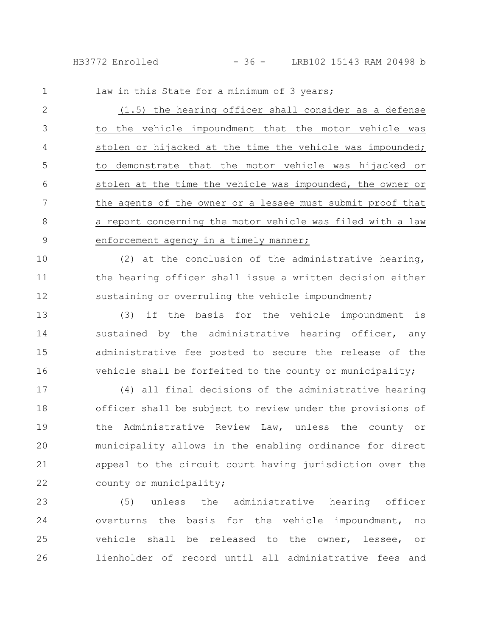law in this State for a minimum of 3 years; 1

(1.5) the hearing officer shall consider as a defense to the vehicle impoundment that the motor vehicle was stolen or hijacked at the time the vehicle was impounded; to demonstrate that the motor vehicle was hijacked or stolen at the time the vehicle was impounded, the owner or the agents of the owner or a lessee must submit proof that a report concerning the motor vehicle was filed with a law enforcement agency in a timely manner; 2 3 4 5 6 7 8 9

(2) at the conclusion of the administrative hearing, the hearing officer shall issue a written decision either sustaining or overruling the vehicle impoundment; 10 11 12

(3) if the basis for the vehicle impoundment is sustained by the administrative hearing officer, any administrative fee posted to secure the release of the vehicle shall be forfeited to the county or municipality; 13 14 15 16

(4) all final decisions of the administrative hearing officer shall be subject to review under the provisions of the Administrative Review Law, unless the county or municipality allows in the enabling ordinance for direct appeal to the circuit court having jurisdiction over the county or municipality; 17 18 19 20 21 22

(5) unless the administrative hearing officer overturns the basis for the vehicle impoundment, no vehicle shall be released to the owner, lessee, or lienholder of record until all administrative fees and 23 24 25 26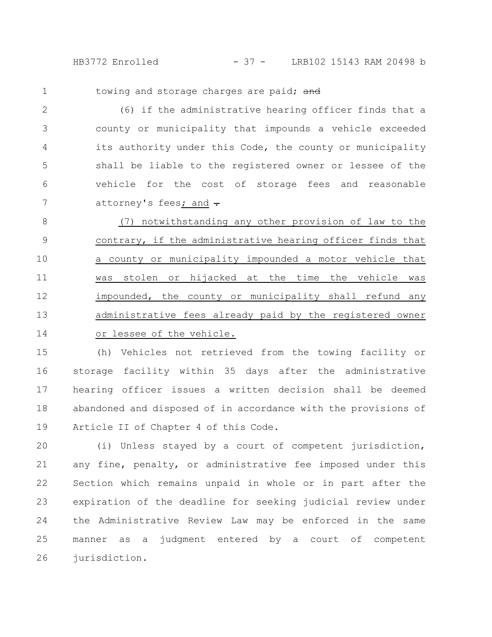HB3772 Enrolled - 37 - LRB102 15143 RAM 20498 b

1

towing and storage charges are paid; and

(6) if the administrative hearing officer finds that a county or municipality that impounds a vehicle exceeded its authority under this Code, the county or municipality shall be liable to the registered owner or lessee of the vehicle for the cost of storage fees and reasonable attorney's fees; and  $\div$ 2 3 4 5 6 7

(7) notwithstanding any other provision of law to the contrary, if the administrative hearing officer finds that a county or municipality impounded a motor vehicle that was stolen or hijacked at the time the vehicle was impounded, the county or municipality shall refund any administrative fees already paid by the registered owner or lessee of the vehicle. 8 9 10 11 12 13 14

(h) Vehicles not retrieved from the towing facility or storage facility within 35 days after the administrative hearing officer issues a written decision shall be deemed abandoned and disposed of in accordance with the provisions of Article II of Chapter 4 of this Code. 15 16 17 18 19

(i) Unless stayed by a court of competent jurisdiction, any fine, penalty, or administrative fee imposed under this Section which remains unpaid in whole or in part after the expiration of the deadline for seeking judicial review under the Administrative Review Law may be enforced in the same manner as a judgment entered by a court of competent jurisdiction. 20 21 22 23 24 25 26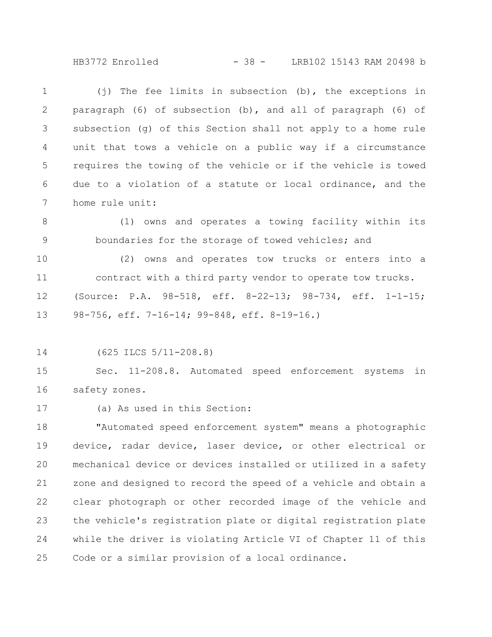HB3772 Enrolled - 38 - LRB102 15143 RAM 20498 b

(j) The fee limits in subsection (b), the exceptions in paragraph (6) of subsection (b), and all of paragraph (6) of subsection (g) of this Section shall not apply to a home rule unit that tows a vehicle on a public way if a circumstance requires the towing of the vehicle or if the vehicle is towed due to a violation of a statute or local ordinance, and the home rule unit: 1 2 3 4 5 6 7

(1) owns and operates a towing facility within its boundaries for the storage of towed vehicles; and 8 9

(2) owns and operates tow trucks or enters into a contract with a third party vendor to operate tow trucks. (Source: P.A. 98-518, eff. 8-22-13; 98-734, eff. 1-1-15; 98-756, eff. 7-16-14; 99-848, eff. 8-19-16.) 10 11 12 13

(625 ILCS 5/11-208.8) 14

Sec. 11-208.8. Automated speed enforcement systems in safety zones. 15 16

(a) As used in this Section: 17

"Automated speed enforcement system" means a photographic device, radar device, laser device, or other electrical or mechanical device or devices installed or utilized in a safety zone and designed to record the speed of a vehicle and obtain a clear photograph or other recorded image of the vehicle and the vehicle's registration plate or digital registration plate while the driver is violating Article VI of Chapter 11 of this Code or a similar provision of a local ordinance. 18 19 20 21 22 23 24 25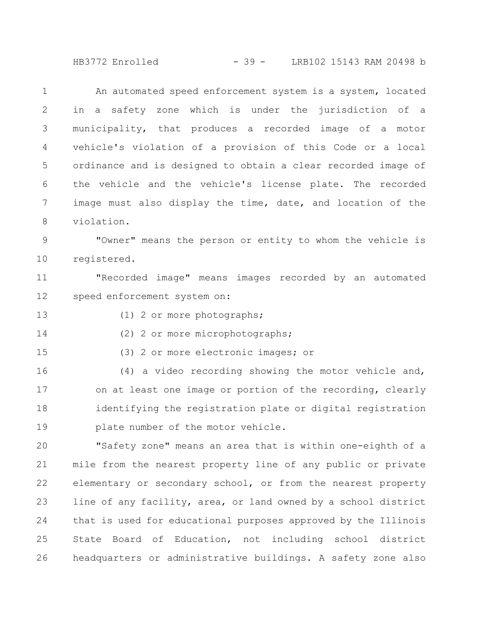HB3772 Enrolled - 39 - LRB102 15143 RAM 20498 b

An automated speed enforcement system is a system, located in a safety zone which is under the jurisdiction of a municipality, that produces a recorded image of a motor vehicle's violation of a provision of this Code or a local ordinance and is designed to obtain a clear recorded image of the vehicle and the vehicle's license plate. The recorded image must also display the time, date, and location of the violation. "Owner" means the person or entity to whom the vehicle is registered. "Recorded image" means images recorded by an automated speed enforcement system on: (1) 2 or more photographs; (2) 2 or more microphotographs; (3) 2 or more electronic images; or (4) a video recording showing the motor vehicle and, on at least one image or portion of the recording, clearly identifying the registration plate or digital registration plate number of the motor vehicle. "Safety zone" means an area that is within one-eighth of a mile from the nearest property line of any public or private elementary or secondary school, or from the nearest property line of any facility, area, or land owned by a school district that is used for educational purposes approved by the Illinois State Board of Education, not including school district 1 2 3 4 5 6 7 8 9 10 11 12 13 14 15 16 17 18 19 20 21 22 23 24 25

headquarters or administrative buildings. A safety zone also 26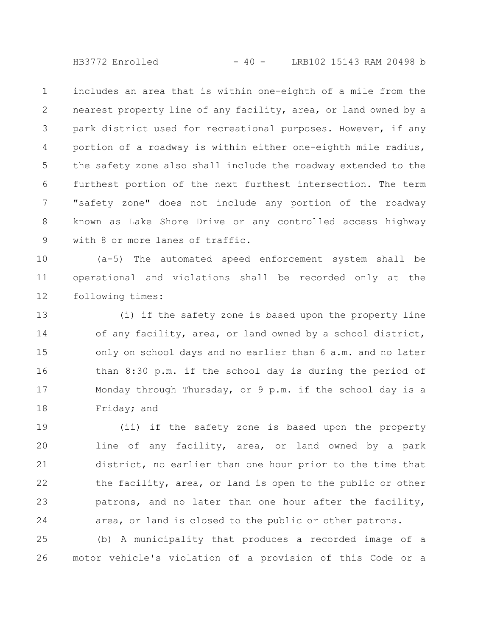HB3772 Enrolled - 40 - LRB102 15143 RAM 20498 b

includes an area that is within one-eighth of a mile from the nearest property line of any facility, area, or land owned by a park district used for recreational purposes. However, if any portion of a roadway is within either one-eighth mile radius, the safety zone also shall include the roadway extended to the furthest portion of the next furthest intersection. The term "safety zone" does not include any portion of the roadway known as Lake Shore Drive or any controlled access highway with 8 or more lanes of traffic. 1 2 3 4 5 6 7 8 9

(a-5) The automated speed enforcement system shall be operational and violations shall be recorded only at the following times: 10 11 12

(i) if the safety zone is based upon the property line of any facility, area, or land owned by a school district, only on school days and no earlier than 6 a.m. and no later than 8:30 p.m. if the school day is during the period of Monday through Thursday, or 9 p.m. if the school day is a Friday; and 13 14 15 16 17 18

(ii) if the safety zone is based upon the property line of any facility, area, or land owned by a park district, no earlier than one hour prior to the time that the facility, area, or land is open to the public or other patrons, and no later than one hour after the facility, area, or land is closed to the public or other patrons. 19 20 21 22 23 24

(b) A municipality that produces a recorded image of a motor vehicle's violation of a provision of this Code or a 25 26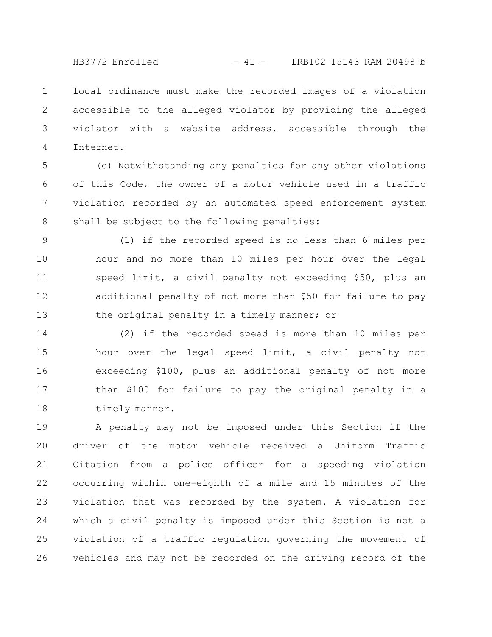HB3772 Enrolled - 41 - LRB102 15143 RAM 20498 b

local ordinance must make the recorded images of a violation accessible to the alleged violator by providing the alleged violator with a website address, accessible through the Internet. 1 2 3 4

(c) Notwithstanding any penalties for any other violations of this Code, the owner of a motor vehicle used in a traffic violation recorded by an automated speed enforcement system shall be subject to the following penalties: 5 6 7 8

(1) if the recorded speed is no less than 6 miles per hour and no more than 10 miles per hour over the legal speed limit, a civil penalty not exceeding \$50, plus an additional penalty of not more than \$50 for failure to pay the original penalty in a timely manner; or 9 10 11 12 13

(2) if the recorded speed is more than 10 miles per hour over the legal speed limit, a civil penalty not exceeding \$100, plus an additional penalty of not more than \$100 for failure to pay the original penalty in a timely manner. 14 15 16 17 18

A penalty may not be imposed under this Section if the driver of the motor vehicle received a Uniform Traffic Citation from a police officer for a speeding violation occurring within one-eighth of a mile and 15 minutes of the violation that was recorded by the system. A violation for which a civil penalty is imposed under this Section is not a violation of a traffic regulation governing the movement of vehicles and may not be recorded on the driving record of the 19 20 21 22 23 24 25 26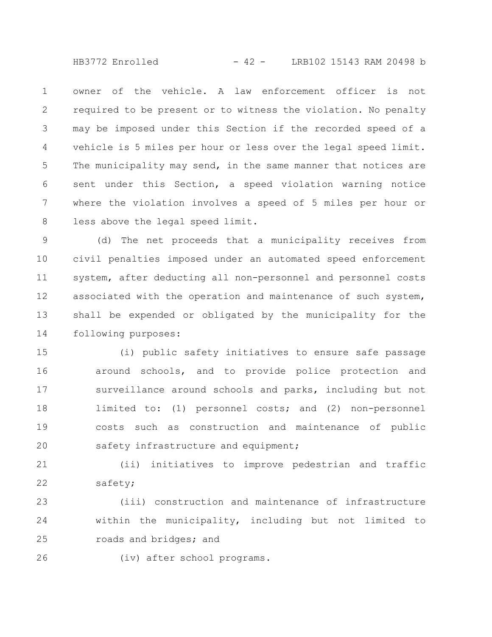$HB3772$  Enrolled  $-42 -$  LRB102 15143 RAM 20498 b

owner of the vehicle. A law enforcement officer is not required to be present or to witness the violation. No penalty may be imposed under this Section if the recorded speed of a vehicle is 5 miles per hour or less over the legal speed limit. The municipality may send, in the same manner that notices are sent under this Section, a speed violation warning notice where the violation involves a speed of 5 miles per hour or less above the legal speed limit. 1 2 3 4 5 6 7 8

(d) The net proceeds that a municipality receives from civil penalties imposed under an automated speed enforcement system, after deducting all non-personnel and personnel costs associated with the operation and maintenance of such system, shall be expended or obligated by the municipality for the following purposes: 9 10 11 12 13 14

(i) public safety initiatives to ensure safe passage around schools, and to provide police protection and surveillance around schools and parks, including but not limited to: (1) personnel costs; and (2) non-personnel costs such as construction and maintenance of public safety infrastructure and equipment; 15 16 17 18 19 20

(ii) initiatives to improve pedestrian and traffic safety; 21 22

(iii) construction and maintenance of infrastructure within the municipality, including but not limited to roads and bridges; and 23 24 25

26

(iv) after school programs.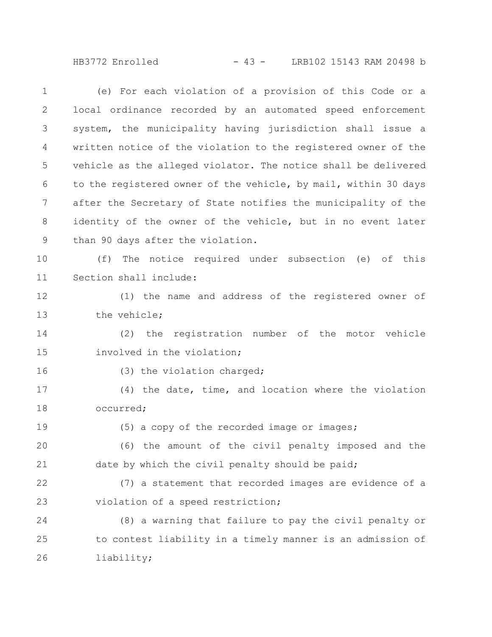HB3772 Enrolled - 43 - LRB102 15143 RAM 20498 b

(e) For each violation of a provision of this Code or a local ordinance recorded by an automated speed enforcement system, the municipality having jurisdiction shall issue a written notice of the violation to the registered owner of the vehicle as the alleged violator. The notice shall be delivered to the registered owner of the vehicle, by mail, within 30 days after the Secretary of State notifies the municipality of the identity of the owner of the vehicle, but in no event later than 90 days after the violation. (f) The notice required under subsection (e) of this Section shall include: (1) the name and address of the registered owner of the vehicle; (2) the registration number of the motor vehicle involved in the violation; (3) the violation charged; (4) the date, time, and location where the violation occurred; (5) a copy of the recorded image or images; (6) the amount of the civil penalty imposed and the date by which the civil penalty should be paid; (7) a statement that recorded images are evidence of a violation of a speed restriction; (8) a warning that failure to pay the civil penalty or to contest liability in a timely manner is an admission of liability; 1 2 3 4 5 6 7 8 9 10 11 12 13 14 15 16 17 18 19 20 21 22 23 24 25 26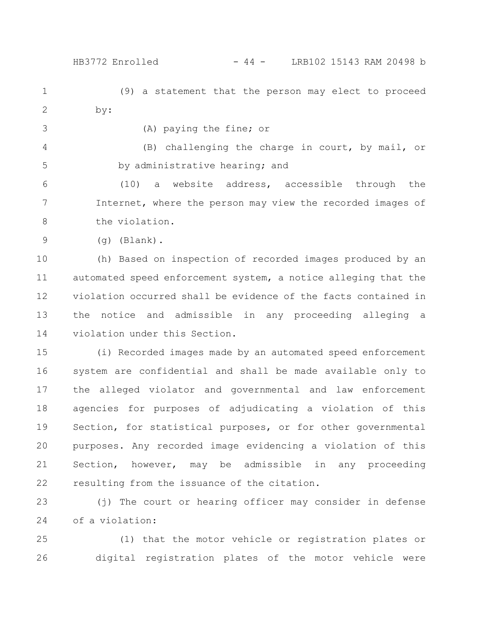HB3772 Enrolled - 44 - LRB102 15143 RAM 20498 b

(9) a statement that the person may elect to proceed by: 1 2

3

(A) paying the fine; or

(B) challenging the charge in court, by mail, or by administrative hearing; and 4 5

(10) a website address, accessible through the Internet, where the person may view the recorded images of the violation. 6 7 8

(g) (Blank). 9

(h) Based on inspection of recorded images produced by an automated speed enforcement system, a notice alleging that the violation occurred shall be evidence of the facts contained in the notice and admissible in any proceeding alleging a violation under this Section. 10 11 12 13 14

(i) Recorded images made by an automated speed enforcement system are confidential and shall be made available only to the alleged violator and governmental and law enforcement agencies for purposes of adjudicating a violation of this Section, for statistical purposes, or for other governmental purposes. Any recorded image evidencing a violation of this Section, however, may be admissible in any proceeding resulting from the issuance of the citation. 15 16 17 18 19 20 21 22

(j) The court or hearing officer may consider in defense of a violation: 23 24

(1) that the motor vehicle or registration plates or digital registration plates of the motor vehicle were 25 26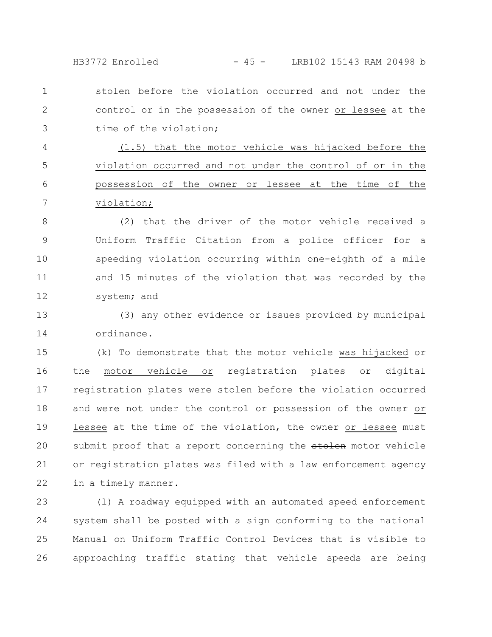HB3772 Enrolled - 45 - LRB102 15143 RAM 20498 b

stolen before the violation occurred and not under the control or in the possession of the owner or lessee at the time of the violation; 1 2 3

(1.5) that the motor vehicle was hijacked before the violation occurred and not under the control of or in the possession of the owner or lessee at the time of the violation; 4 5 6 7

(2) that the driver of the motor vehicle received a Uniform Traffic Citation from a police officer for a speeding violation occurring within one-eighth of a mile and 15 minutes of the violation that was recorded by the system; and 8 9 10 11 12

(3) any other evidence or issues provided by municipal ordinance. 13 14

(k) To demonstrate that the motor vehicle was hijacked or the motor vehicle or registration plates or digital registration plates were stolen before the violation occurred and were not under the control or possession of the owner or lessee at the time of the violation, the owner or lessee must submit proof that a report concerning the stolen motor vehicle or registration plates was filed with a law enforcement agency in a timely manner. 15 16 17 18 19 20 21 22

(l) A roadway equipped with an automated speed enforcement system shall be posted with a sign conforming to the national Manual on Uniform Traffic Control Devices that is visible to approaching traffic stating that vehicle speeds are being 23 24 25 26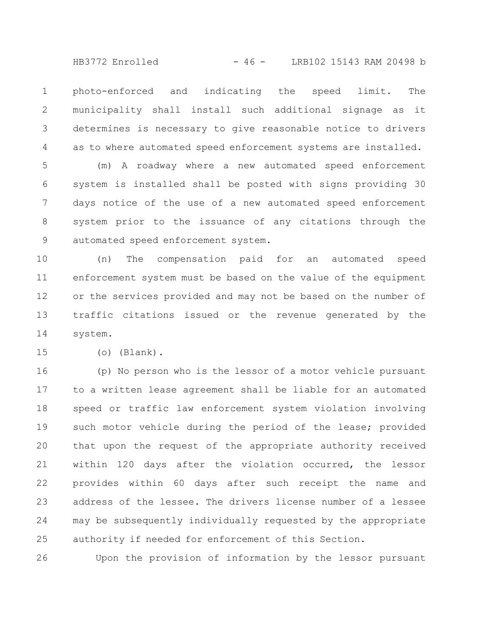HB3772 Enrolled - 46 - LRB102 15143 RAM 20498 b

photo-enforced and indicating the speed limit. The municipality shall install such additional signage as it determines is necessary to give reasonable notice to drivers as to where automated speed enforcement systems are installed. 1 2 3 4

(m) A roadway where a new automated speed enforcement system is installed shall be posted with signs providing 30 days notice of the use of a new automated speed enforcement system prior to the issuance of any citations through the automated speed enforcement system. 5 6 7 8 9

(n) The compensation paid for an automated speed enforcement system must be based on the value of the equipment or the services provided and may not be based on the number of traffic citations issued or the revenue generated by the system. 10 11 12 13 14

15

(o) (Blank).

(p) No person who is the lessor of a motor vehicle pursuant to a written lease agreement shall be liable for an automated speed or traffic law enforcement system violation involving such motor vehicle during the period of the lease; provided that upon the request of the appropriate authority received within 120 days after the violation occurred, the lessor provides within 60 days after such receipt the name and address of the lessee. The drivers license number of a lessee may be subsequently individually requested by the appropriate authority if needed for enforcement of this Section. 16 17 18 19 20 21 22 23 24 25

Upon the provision of information by the lessor pursuant 26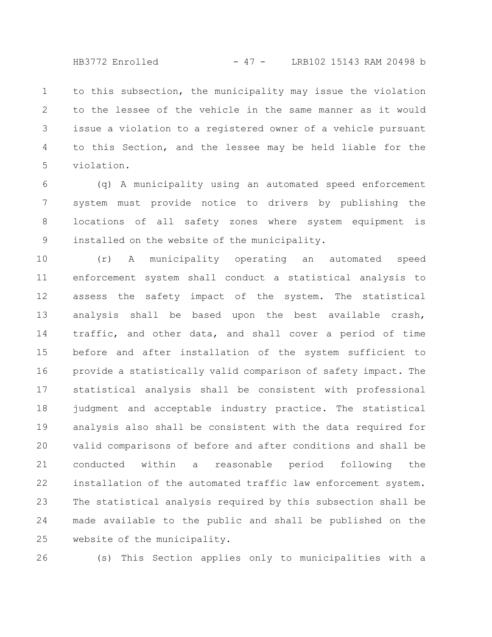to this subsection, the municipality may issue the violation to the lessee of the vehicle in the same manner as it would issue a violation to a registered owner of a vehicle pursuant to this Section, and the lessee may be held liable for the violation. 1 2 3 4 5

(q) A municipality using an automated speed enforcement system must provide notice to drivers by publishing the locations of all safety zones where system equipment is installed on the website of the municipality. 6 7 8 9

(r) A municipality operating an automated speed enforcement system shall conduct a statistical analysis to assess the safety impact of the system. The statistical analysis shall be based upon the best available crash, traffic, and other data, and shall cover a period of time before and after installation of the system sufficient to provide a statistically valid comparison of safety impact. The statistical analysis shall be consistent with professional judgment and acceptable industry practice. The statistical analysis also shall be consistent with the data required for valid comparisons of before and after conditions and shall be conducted within a reasonable period following the installation of the automated traffic law enforcement system. The statistical analysis required by this subsection shall be made available to the public and shall be published on the website of the municipality. 10 11 12 13 14 15 16 17 18 19 20 21 22 23 24 25

26

(s) This Section applies only to municipalities with a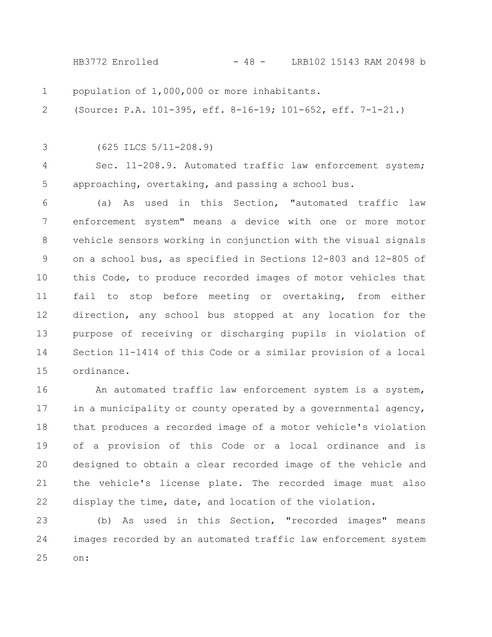HB3772 Enrolled - 48 - LRB102 15143 RAM 20498 b

population of 1,000,000 or more inhabitants. 1

(Source: P.A. 101-395, eff. 8-16-19; 101-652, eff. 7-1-21.) 2

3

(625 ILCS 5/11-208.9)

Sec. 11-208.9. Automated traffic law enforcement system; approaching, overtaking, and passing a school bus. 4 5

(a) As used in this Section, "automated traffic law enforcement system" means a device with one or more motor vehicle sensors working in conjunction with the visual signals on a school bus, as specified in Sections 12-803 and 12-805 of this Code, to produce recorded images of motor vehicles that fail to stop before meeting or overtaking, from either direction, any school bus stopped at any location for the purpose of receiving or discharging pupils in violation of Section 11-1414 of this Code or a similar provision of a local ordinance. 6 7 8 9 10 11 12 13 14 15

An automated traffic law enforcement system is a system, in a municipality or county operated by a governmental agency, that produces a recorded image of a motor vehicle's violation of a provision of this Code or a local ordinance and is designed to obtain a clear recorded image of the vehicle and the vehicle's license plate. The recorded image must also display the time, date, and location of the violation. 16 17 18 19 20 21 22

(b) As used in this Section, "recorded images" means images recorded by an automated traffic law enforcement system on: 23 24 25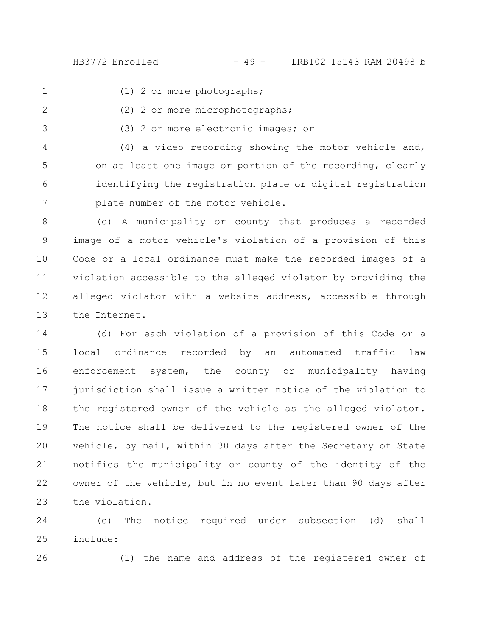HB3772 Enrolled - 49 - LRB102 15143 RAM 20498 b

1

(1) 2 or more photographs;

- (2) 2 or more microphotographs; 2
- (3) 2 or more electronic images; or 3

(4) a video recording showing the motor vehicle and, on at least one image or portion of the recording, clearly identifying the registration plate or digital registration plate number of the motor vehicle. 4 5 6 7

(c) A municipality or county that produces a recorded image of a motor vehicle's violation of a provision of this Code or a local ordinance must make the recorded images of a violation accessible to the alleged violator by providing the alleged violator with a website address, accessible through the Internet. 8 9 10 11 12 13

(d) For each violation of a provision of this Code or a local ordinance recorded by an automated traffic law enforcement system, the county or municipality having jurisdiction shall issue a written notice of the violation to the registered owner of the vehicle as the alleged violator. The notice shall be delivered to the registered owner of the vehicle, by mail, within 30 days after the Secretary of State notifies the municipality or county of the identity of the owner of the vehicle, but in no event later than 90 days after the violation. 14 15 16 17 18 19 20 21 22 23

(e) The notice required under subsection (d) shall include: 24 25

26

(1) the name and address of the registered owner of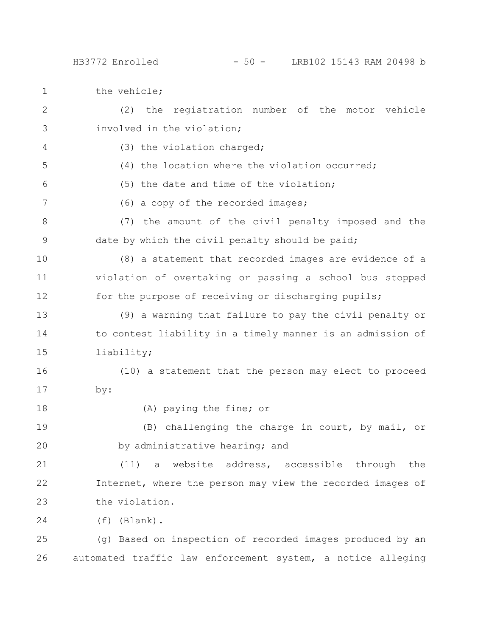the vehicle; 1

(2) the registration number of the motor vehicle involved in the violation; (3) the violation charged; (4) the location where the violation occurred; (5) the date and time of the violation; (6) a copy of the recorded images; (7) the amount of the civil penalty imposed and the date by which the civil penalty should be paid; (8) a statement that recorded images are evidence of a violation of overtaking or passing a school bus stopped for the purpose of receiving or discharging pupils; (9) a warning that failure to pay the civil penalty or to contest liability in a timely manner is an admission of liability; (10) a statement that the person may elect to proceed by: (A) paying the fine; or (B) challenging the charge in court, by mail, or by administrative hearing; and (11) a website address, accessible through the Internet, where the person may view the recorded images of the violation. (f) (Blank). (g) Based on inspection of recorded images produced by an automated traffic law enforcement system, a notice alleging 2 3 4 5 6 7 8 9 10 11 12 13 14 15 16 17 18 19 20 21 22 23 24 25 26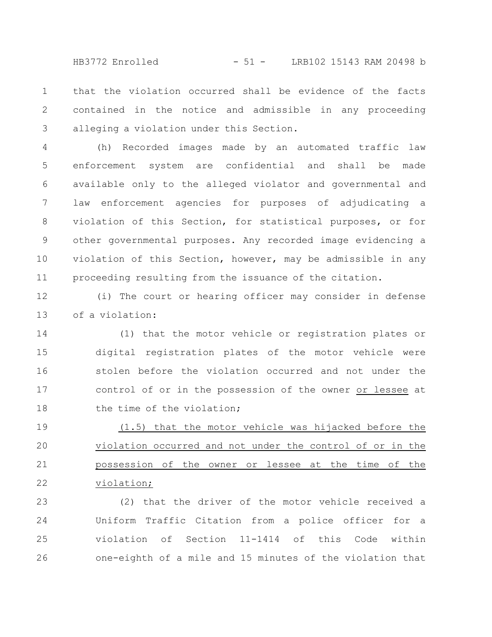HB3772 Enrolled - 51 - LRB102 15143 RAM 20498 b

that the violation occurred shall be evidence of the facts contained in the notice and admissible in any proceeding alleging a violation under this Section. 1 2 3

(h) Recorded images made by an automated traffic law enforcement system are confidential and shall be made available only to the alleged violator and governmental and law enforcement agencies for purposes of adjudicating a violation of this Section, for statistical purposes, or for other governmental purposes. Any recorded image evidencing a violation of this Section, however, may be admissible in any proceeding resulting from the issuance of the citation. 4 5 6 7 8 9 10 11

(i) The court or hearing officer may consider in defense of a violation: 12 13

(1) that the motor vehicle or registration plates or digital registration plates of the motor vehicle were stolen before the violation occurred and not under the control of or in the possession of the owner or lessee at the time of the violation; 14 15 16 17 18

(1.5) that the motor vehicle was hijacked before the violation occurred and not under the control of or in the possession of the owner or lessee at the time of the violation; 19 20 21 22

(2) that the driver of the motor vehicle received a Uniform Traffic Citation from a police officer for a violation of Section 11-1414 of this Code within one-eighth of a mile and 15 minutes of the violation that 23 24 25 26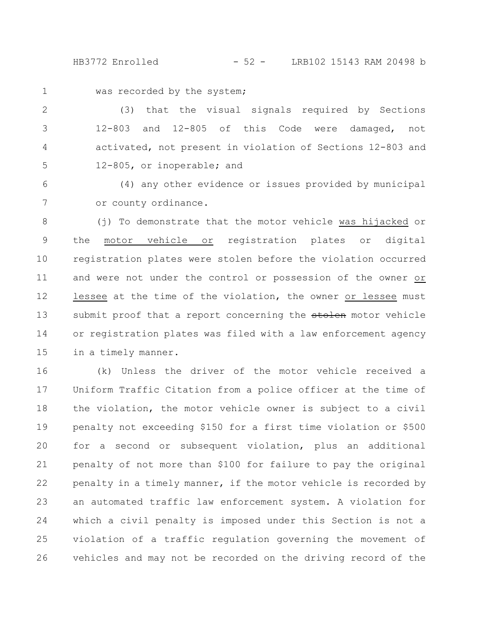HB3772 Enrolled - 52 - LRB102 15143 RAM 20498 b

1

was recorded by the system;

(3) that the visual signals required by Sections 12-803 and 12-805 of this Code were damaged, not activated, not present in violation of Sections 12-803 and 12-805, or inoperable; and 2 3 4 5

(4) any other evidence or issues provided by municipal or county ordinance. 6 7

(j) To demonstrate that the motor vehicle was hijacked or the motor vehicle or registration plates or digital registration plates were stolen before the violation occurred and were not under the control or possession of the owner or lessee at the time of the violation, the owner or lessee must submit proof that a report concerning the stolen motor vehicle or registration plates was filed with a law enforcement agency in a timely manner. 8 9 10 11 12 13 14 15

(k) Unless the driver of the motor vehicle received a Uniform Traffic Citation from a police officer at the time of the violation, the motor vehicle owner is subject to a civil penalty not exceeding \$150 for a first time violation or \$500 for a second or subsequent violation, plus an additional penalty of not more than \$100 for failure to pay the original penalty in a timely manner, if the motor vehicle is recorded by an automated traffic law enforcement system. A violation for which a civil penalty is imposed under this Section is not a violation of a traffic regulation governing the movement of vehicles and may not be recorded on the driving record of the 16 17 18 19 20 21 22 23 24 25 26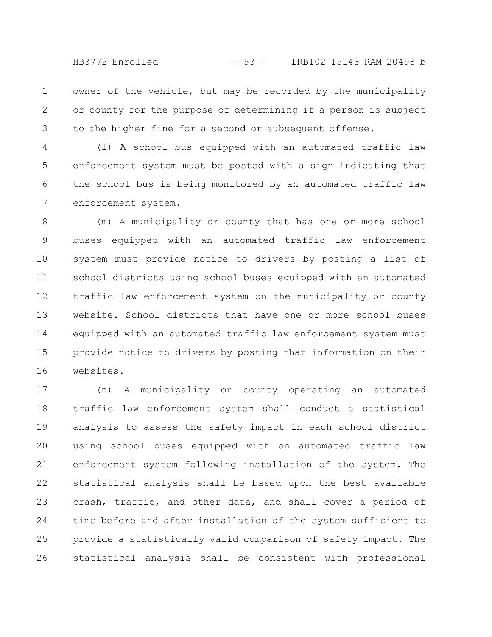HB3772 Enrolled - 53 - LRB102 15143 RAM 20498 b

owner of the vehicle, but may be recorded by the municipality or county for the purpose of determining if a person is subject to the higher fine for a second or subsequent offense. 1 2 3

(l) A school bus equipped with an automated traffic law enforcement system must be posted with a sign indicating that the school bus is being monitored by an automated traffic law enforcement system. 4 5 6 7

(m) A municipality or county that has one or more school buses equipped with an automated traffic law enforcement system must provide notice to drivers by posting a list of school districts using school buses equipped with an automated traffic law enforcement system on the municipality or county website. School districts that have one or more school buses equipped with an automated traffic law enforcement system must provide notice to drivers by posting that information on their websites. 8 9 10 11 12 13 14 15 16

(n) A municipality or county operating an automated traffic law enforcement system shall conduct a statistical analysis to assess the safety impact in each school district using school buses equipped with an automated traffic law enforcement system following installation of the system. The statistical analysis shall be based upon the best available crash, traffic, and other data, and shall cover a period of time before and after installation of the system sufficient to provide a statistically valid comparison of safety impact. The statistical analysis shall be consistent with professional 17 18 19 20 21 22 23 24 25 26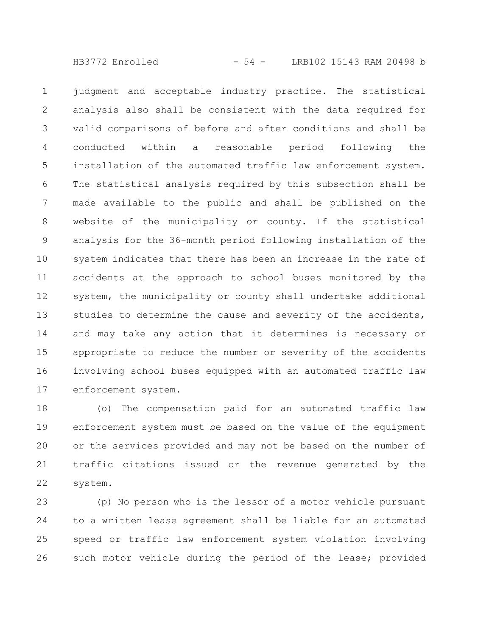HB3772 Enrolled - 54 - LRB102 15143 RAM 20498 b

judgment and acceptable industry practice. The statistical analysis also shall be consistent with the data required for valid comparisons of before and after conditions and shall be conducted within a reasonable period following the installation of the automated traffic law enforcement system. The statistical analysis required by this subsection shall be made available to the public and shall be published on the website of the municipality or county. If the statistical analysis for the 36-month period following installation of the system indicates that there has been an increase in the rate of accidents at the approach to school buses monitored by the system, the municipality or county shall undertake additional studies to determine the cause and severity of the accidents, and may take any action that it determines is necessary or appropriate to reduce the number or severity of the accidents involving school buses equipped with an automated traffic law enforcement system. 1 2 3 4 5 6 7 8 9 10 11 12 13 14 15 16 17

(o) The compensation paid for an automated traffic law enforcement system must be based on the value of the equipment or the services provided and may not be based on the number of traffic citations issued or the revenue generated by the system. 18 19 20 21 22

(p) No person who is the lessor of a motor vehicle pursuant to a written lease agreement shall be liable for an automated speed or traffic law enforcement system violation involving such motor vehicle during the period of the lease; provided 23 24 25 26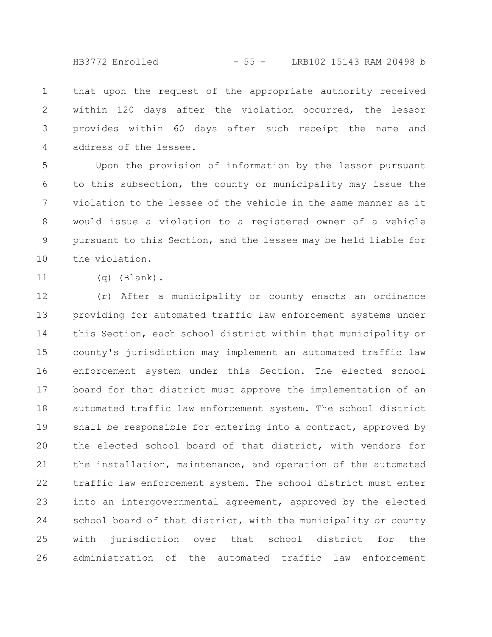HB3772 Enrolled - 55 - LRB102 15143 RAM 20498 b

that upon the request of the appropriate authority received within 120 days after the violation occurred, the lessor provides within 60 days after such receipt the name and address of the lessee. 1 2 3 4

Upon the provision of information by the lessor pursuant to this subsection, the county or municipality may issue the violation to the lessee of the vehicle in the same manner as it would issue a violation to a registered owner of a vehicle pursuant to this Section, and the lessee may be held liable for the violation. 5 6 7 8 9 10

11

(q) (Blank).

(r) After a municipality or county enacts an ordinance providing for automated traffic law enforcement systems under this Section, each school district within that municipality or county's jurisdiction may implement an automated traffic law enforcement system under this Section. The elected school board for that district must approve the implementation of an automated traffic law enforcement system. The school district shall be responsible for entering into a contract, approved by the elected school board of that district, with vendors for the installation, maintenance, and operation of the automated traffic law enforcement system. The school district must enter into an intergovernmental agreement, approved by the elected school board of that district, with the municipality or county with jurisdiction over that school district for the administration of the automated traffic law enforcement 12 13 14 15 16 17 18 19 20 21 22 23 24 25 26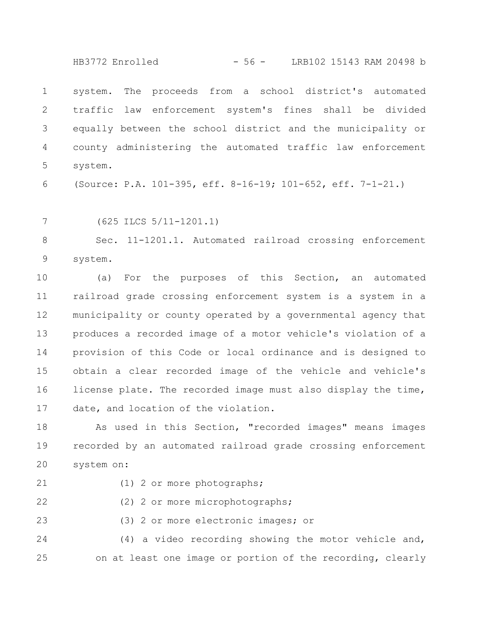HB3772 Enrolled - 56 - LRB102 15143 RAM 20498 b

system. The proceeds from a school district's automated traffic law enforcement system's fines shall be divided equally between the school district and the municipality or county administering the automated traffic law enforcement system. 1 2 3 4 5

(Source: P.A. 101-395, eff. 8-16-19; 101-652, eff. 7-1-21.) 6

7

(625 ILCS 5/11-1201.1)

Sec. 11-1201.1. Automated railroad crossing enforcement system. 8 9

(a) For the purposes of this Section, an automated railroad grade crossing enforcement system is a system in a municipality or county operated by a governmental agency that produces a recorded image of a motor vehicle's violation of a provision of this Code or local ordinance and is designed to obtain a clear recorded image of the vehicle and vehicle's license plate. The recorded image must also display the time, date, and location of the violation. 10 11 12 13 14 15 16 17

As used in this Section, "recorded images" means images recorded by an automated railroad grade crossing enforcement system on: 18 19 20

21

(1) 2 or more photographs;

(2) 2 or more microphotographs; 22

(3) 2 or more electronic images; or 23

(4) a video recording showing the motor vehicle and, on at least one image or portion of the recording, clearly 24 25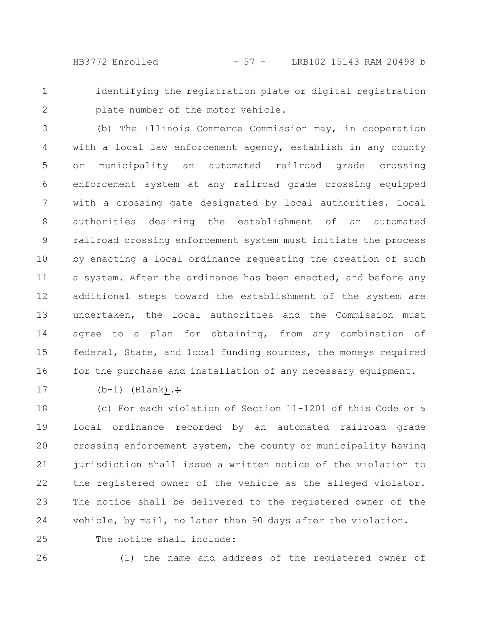HB3772 Enrolled - 57 - LRB102 15143 RAM 20498 b

1 2

identifying the registration plate or digital registration plate number of the motor vehicle.

(b) The Illinois Commerce Commission may, in cooperation with a local law enforcement agency, establish in any county or municipality an automated railroad grade crossing enforcement system at any railroad grade crossing equipped with a crossing gate designated by local authorities. Local authorities desiring the establishment of an automated railroad crossing enforcement system must initiate the process by enacting a local ordinance requesting the creation of such a system. After the ordinance has been enacted, and before any additional steps toward the establishment of the system are undertaken, the local authorities and the Commission must agree to a plan for obtaining, from any combination of federal, State, and local funding sources, the moneys required for the purchase and installation of any necessary equipment. 3 4 5 6 7 8 9 10 11 12 13 14 15 16

17

 $(b-1)$  (Blank). $+$ 

(c) For each violation of Section 11-1201 of this Code or a local ordinance recorded by an automated railroad grade crossing enforcement system, the county or municipality having jurisdiction shall issue a written notice of the violation to the registered owner of the vehicle as the alleged violator. The notice shall be delivered to the registered owner of the vehicle, by mail, no later than 90 days after the violation. 18 19 20 21 22 23 24

The notice shall include: 25

26

(1) the name and address of the registered owner of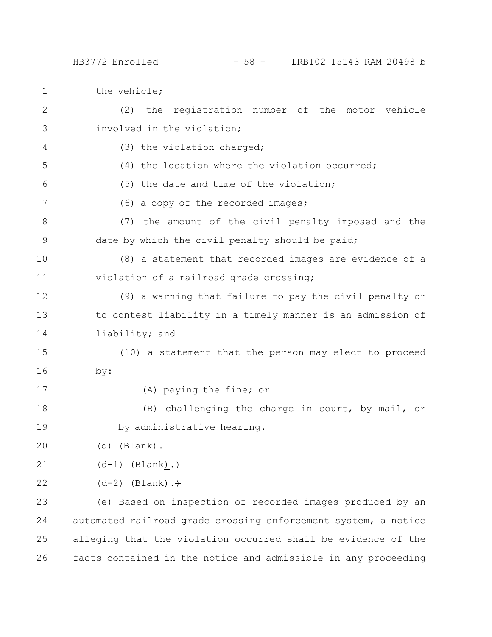1 the vehicle;

| $\mathbf{2}$ | the registration number of the motor vehicle<br>(2)            |
|--------------|----------------------------------------------------------------|
| 3            | involved in the violation;                                     |
| 4            | (3) the violation charged;                                     |
| 5            | (4) the location where the violation occurred;                 |
| 6            | (5) the date and time of the violation;                        |
| 7            | (6) a copy of the recorded images;                             |
| 8            | (7) the amount of the civil penalty imposed and the            |
| 9            | date by which the civil penalty should be paid;                |
| 10           | (8) a statement that recorded images are evidence of a         |
| 11           | violation of a railroad grade crossing;                        |
| 12           | (9) a warning that failure to pay the civil penalty or         |
| 13           | to contest liability in a timely manner is an admission of     |
| 14           | liability; and                                                 |
| 15           | (10) a statement that the person may elect to proceed          |
| 16           | by:                                                            |
| 17           | (A) paying the fine; or                                        |
| 18           | (B) challenging the charge in court, by mail, or               |
| 19           | by administrative hearing.                                     |
| 20           | (Blank).<br>(d)                                                |
| 21           | $(d-1)$ (Blank). +                                             |
| 22           | $(d-2)$ (Blank). +                                             |
| 23           | (e) Based on inspection of recorded images produced by an      |
| 24           | automated railroad grade crossing enforcement system, a notice |
| 25           | alleging that the violation occurred shall be evidence of the  |
| 26           | facts contained in the notice and admissible in any proceeding |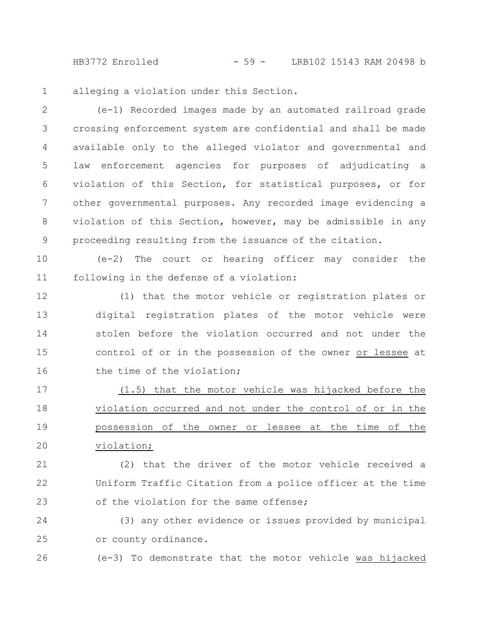HB3772 Enrolled - 59 - LRB102 15143 RAM 20498 b

alleging a violation under this Section. 1

(e-1) Recorded images made by an automated railroad grade crossing enforcement system are confidential and shall be made available only to the alleged violator and governmental and law enforcement agencies for purposes of adjudicating a violation of this Section, for statistical purposes, or for other governmental purposes. Any recorded image evidencing a violation of this Section, however, may be admissible in any proceeding resulting from the issuance of the citation. 2 3 4 5 6 7 8 9

(e-2) The court or hearing officer may consider the following in the defense of a violation: 10 11

(1) that the motor vehicle or registration plates or digital registration plates of the motor vehicle were stolen before the violation occurred and not under the control of or in the possession of the owner or lessee at the time of the violation; 12 13 14 15 16

(1.5) that the motor vehicle was hijacked before the violation occurred and not under the control of or in the possession of the owner or lessee at the time of the violation; 17 18 19 20

(2) that the driver of the motor vehicle received a Uniform Traffic Citation from a police officer at the time of the violation for the same offense; 21 22 23

(3) any other evidence or issues provided by municipal or county ordinance. 24 25

(e-3) To demonstrate that the motor vehicle was hijacked 26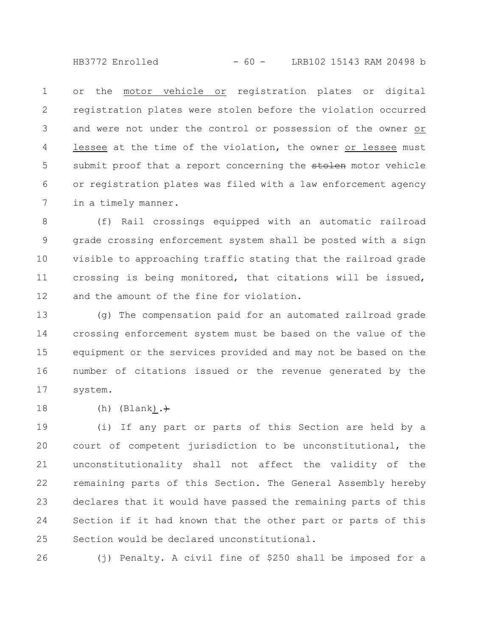HB3772 Enrolled - 60 - LRB102 15143 RAM 20498 b

or the motor vehicle or registration plates or digital registration plates were stolen before the violation occurred and were not under the control or possession of the owner or lessee at the time of the violation, the owner or lessee must submit proof that a report concerning the stolen motor vehicle or registration plates was filed with a law enforcement agency in a timely manner. 1 2 3 4 5 6 7

(f) Rail crossings equipped with an automatic railroad grade crossing enforcement system shall be posted with a sign visible to approaching traffic stating that the railroad grade crossing is being monitored, that citations will be issued, and the amount of the fine for violation. 8 9 10 11 12

(g) The compensation paid for an automated railroad grade crossing enforcement system must be based on the value of the equipment or the services provided and may not be based on the number of citations issued or the revenue generated by the system. 13 14 15 16 17

(h) (Blank). $\div$ 18

(i) If any part or parts of this Section are held by a court of competent jurisdiction to be unconstitutional, the unconstitutionality shall not affect the validity of the remaining parts of this Section. The General Assembly hereby declares that it would have passed the remaining parts of this Section if it had known that the other part or parts of this Section would be declared unconstitutional. 19 20 21 22 23 24 25

(j) Penalty. A civil fine of \$250 shall be imposed for a 26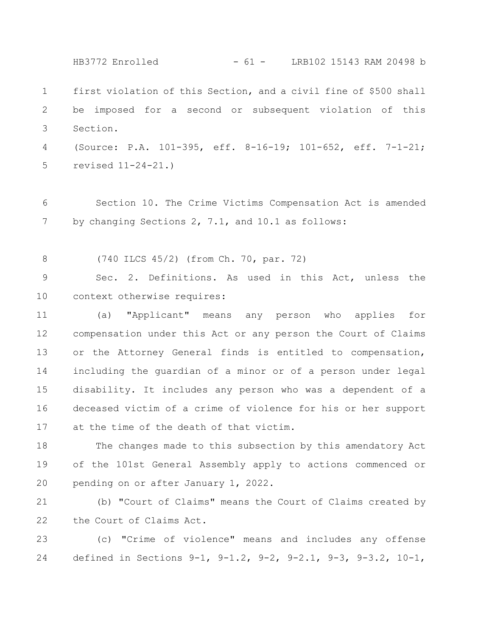first violation of this Section, and a civil fine of \$500 shall be imposed for a second or subsequent violation of this Section. (Source: P.A. 101-395, eff. 8-16-19; 101-652, eff. 7-1-21; revised 11-24-21.) Section 10. The Crime Victims Compensation Act is amended by changing Sections 2, 7.1, and 10.1 as follows: (740 ILCS 45/2) (from Ch. 70, par. 72) Sec. 2. Definitions. As used in this Act, unless the context otherwise requires: (a) "Applicant" means any person who applies for compensation under this Act or any person the Court of Claims or the Attorney General finds is entitled to compensation, including the guardian of a minor or of a person under legal disability. It includes any person who was a dependent of a deceased victim of a crime of violence for his or her support at the time of the death of that victim. The changes made to this subsection by this amendatory Act of the 101st General Assembly apply to actions commenced or pending on or after January 1, 2022. (b) "Court of Claims" means the Court of Claims created by the Court of Claims Act. 1 2 3 4 5 6 7 8 9 10 11 12 13 14 15 16 17 18 19 20 21 22 HB3772 Enrolled - 61 - LRB102 15143 RAM 20498 b

(c) "Crime of violence" means and includes any offense defined in Sections 9-1, 9-1.2, 9-2, 9-2.1, 9-3, 9-3.2, 10-1, 23 24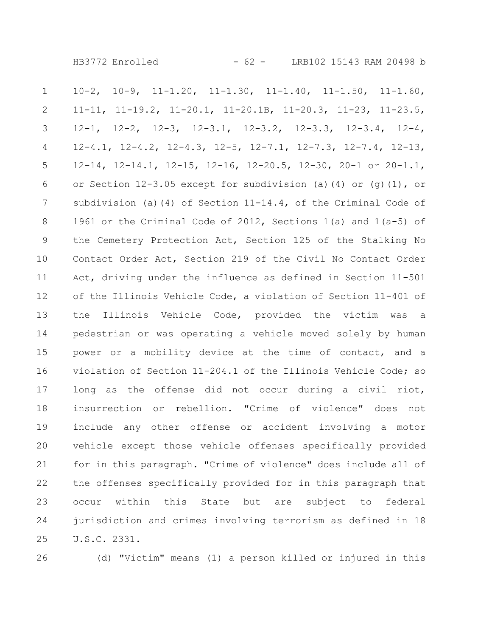10-2, 10-9, 11-1.20, 11-1.30, 11-1.40, 11-1.50, 11-1.60, 11-11, 11-19.2, 11-20.1, 11-20.1B, 11-20.3, 11-23, 11-23.5, 12-1, 12-2, 12-3, 12-3.1, 12-3.2, 12-3.3, 12-3.4, 12-4, 12-4.1, 12-4.2, 12-4.3, 12-5, 12-7.1, 12-7.3, 12-7.4, 12-13, 12-14, 12-14.1, 12-15, 12-16, 12-20.5, 12-30, 20-1 or 20-1.1, or Section  $12-3.05$  except for subdivision (a)(4) or (g)(1), or subdivision (a)(4) of Section 11-14.4, of the Criminal Code of 1961 or the Criminal Code of 2012, Sections 1(a) and 1(a-5) of the Cemetery Protection Act, Section 125 of the Stalking No Contact Order Act, Section 219 of the Civil No Contact Order Act, driving under the influence as defined in Section 11-501 of the Illinois Vehicle Code, a violation of Section 11-401 of the Illinois Vehicle Code, provided the victim was a pedestrian or was operating a vehicle moved solely by human power or a mobility device at the time of contact, and a violation of Section 11-204.1 of the Illinois Vehicle Code; so long as the offense did not occur during a civil riot, insurrection or rebellion. "Crime of violence" does not include any other offense or accident involving a motor vehicle except those vehicle offenses specifically provided for in this paragraph. "Crime of violence" does include all of the offenses specifically provided for in this paragraph that occur within this State but are subject to federal jurisdiction and crimes involving terrorism as defined in 18 U.S.C. 2331. 1 2 3 4 5 6 7 8 9 10 11 12 13 14 15 16 17 18 19 20 21 22 23 24 25

26

(d) "Victim" means (1) a person killed or injured in this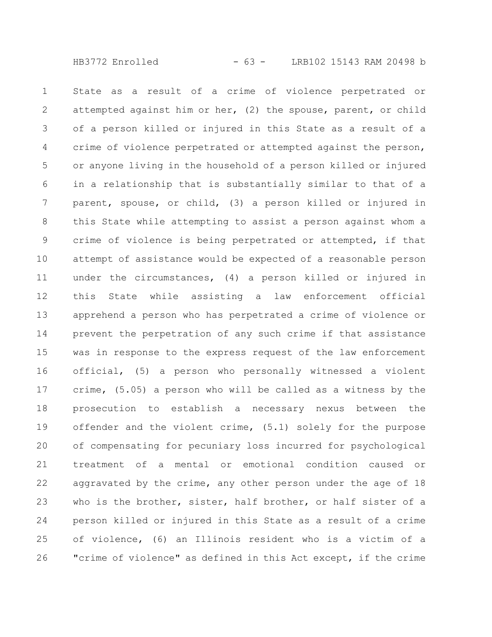State as a result of a crime of violence perpetrated or attempted against him or her, (2) the spouse, parent, or child of a person killed or injured in this State as a result of a crime of violence perpetrated or attempted against the person, or anyone living in the household of a person killed or injured in a relationship that is substantially similar to that of a parent, spouse, or child, (3) a person killed or injured in this State while attempting to assist a person against whom a crime of violence is being perpetrated or attempted, if that attempt of assistance would be expected of a reasonable person under the circumstances, (4) a person killed or injured in this State while assisting a law enforcement official apprehend a person who has perpetrated a crime of violence or prevent the perpetration of any such crime if that assistance was in response to the express request of the law enforcement official, (5) a person who personally witnessed a violent crime, (5.05) a person who will be called as a witness by the prosecution to establish a necessary nexus between the offender and the violent crime, (5.1) solely for the purpose of compensating for pecuniary loss incurred for psychological treatment of a mental or emotional condition caused or aggravated by the crime, any other person under the age of 18 who is the brother, sister, half brother, or half sister of a person killed or injured in this State as a result of a crime of violence, (6) an Illinois resident who is a victim of a "crime of violence" as defined in this Act except, if the crime 1 2 3 4 5 6 7 8 9 10 11 12 13 14 15 16 17 18 19 20 21 22 23 24 25 26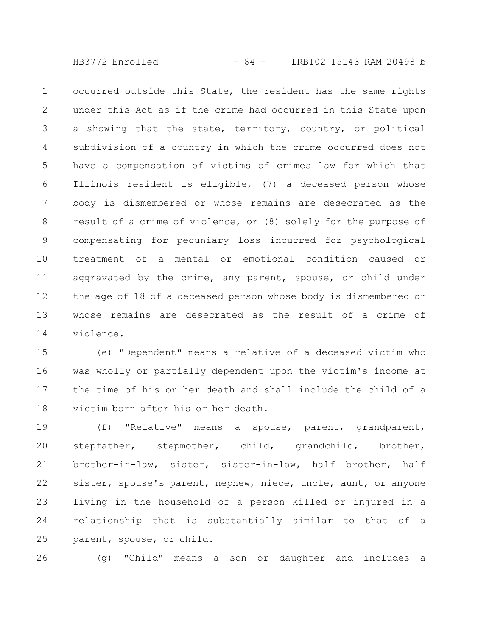HB3772 Enrolled - 64 - LRB102 15143 RAM 20498 b

occurred outside this State, the resident has the same rights under this Act as if the crime had occurred in this State upon a showing that the state, territory, country, or political subdivision of a country in which the crime occurred does not have a compensation of victims of crimes law for which that Illinois resident is eligible, (7) a deceased person whose body is dismembered or whose remains are desecrated as the result of a crime of violence, or (8) solely for the purpose of compensating for pecuniary loss incurred for psychological treatment of a mental or emotional condition caused or aggravated by the crime, any parent, spouse, or child under the age of 18 of a deceased person whose body is dismembered or whose remains are desecrated as the result of a crime of violence. 1 2 3 4 5 6 7 8 9 10 11 12 13 14

(e) "Dependent" means a relative of a deceased victim who was wholly or partially dependent upon the victim's income at the time of his or her death and shall include the child of a victim born after his or her death. 15 16 17 18

(f) "Relative" means a spouse, parent, grandparent, stepfather, stepmother, child, grandchild, brother, brother-in-law, sister, sister-in-law, half brother, half sister, spouse's parent, nephew, niece, uncle, aunt, or anyone living in the household of a person killed or injured in a relationship that is substantially similar to that of a parent, spouse, or child. 19 20 21 22 23 24 25

(g) "Child" means a son or daughter and includes a 26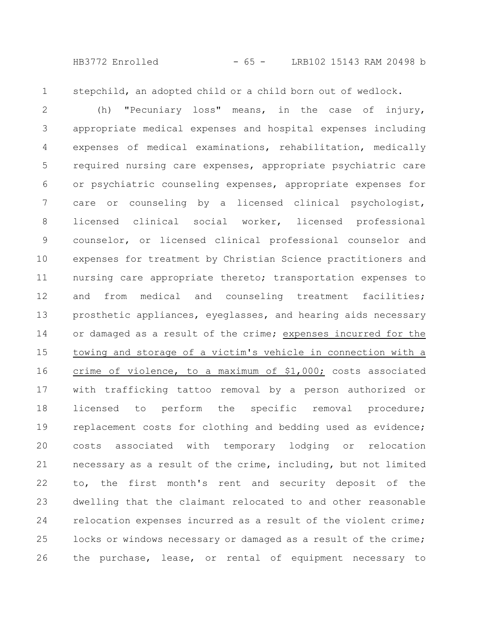HB3772 Enrolled - 65 - LRB102 15143 RAM 20498 b

1

stepchild, an adopted child or a child born out of wedlock.

(h) "Pecuniary loss" means, in the case of injury, appropriate medical expenses and hospital expenses including expenses of medical examinations, rehabilitation, medically required nursing care expenses, appropriate psychiatric care or psychiatric counseling expenses, appropriate expenses for care or counseling by a licensed clinical psychologist, licensed clinical social worker, licensed professional counselor, or licensed clinical professional counselor and expenses for treatment by Christian Science practitioners and nursing care appropriate thereto; transportation expenses to and from medical and counseling treatment facilities; prosthetic appliances, eyeglasses, and hearing aids necessary or damaged as a result of the crime; expenses incurred for the towing and storage of a victim's vehicle in connection with a crime of violence, to a maximum of \$1,000; costs associated with trafficking tattoo removal by a person authorized or licensed to perform the specific removal procedure; replacement costs for clothing and bedding used as evidence; costs associated with temporary lodging or relocation necessary as a result of the crime, including, but not limited to, the first month's rent and security deposit of the dwelling that the claimant relocated to and other reasonable relocation expenses incurred as a result of the violent crime; locks or windows necessary or damaged as a result of the crime; the purchase, lease, or rental of equipment necessary to 2 3 4 5 6 7 8 9 10 11 12 13 14 15 16 17 18 19 20 21 22 23 24 25 26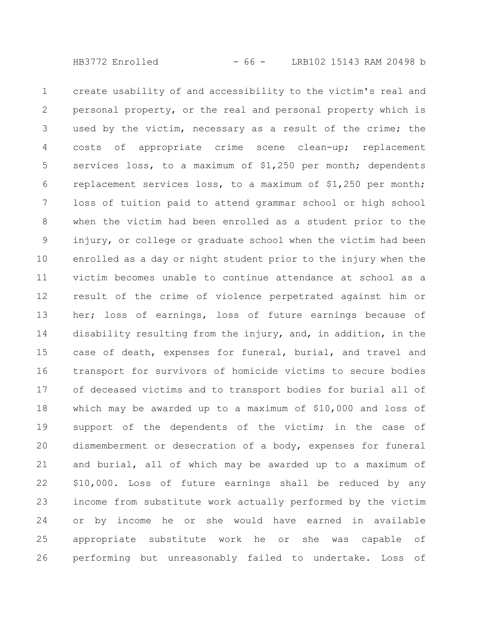create usability of and accessibility to the victim's real and personal property, or the real and personal property which is used by the victim, necessary as a result of the crime; the costs of appropriate crime scene clean-up; replacement services loss, to a maximum of \$1,250 per month; dependents replacement services loss, to a maximum of \$1,250 per month; loss of tuition paid to attend grammar school or high school when the victim had been enrolled as a student prior to the injury, or college or graduate school when the victim had been enrolled as a day or night student prior to the injury when the victim becomes unable to continue attendance at school as a result of the crime of violence perpetrated against him or her; loss of earnings, loss of future earnings because of disability resulting from the injury, and, in addition, in the case of death, expenses for funeral, burial, and travel and transport for survivors of homicide victims to secure bodies of deceased victims and to transport bodies for burial all of which may be awarded up to a maximum of \$10,000 and loss of support of the dependents of the victim; in the case of dismemberment or desecration of a body, expenses for funeral and burial, all of which may be awarded up to a maximum of \$10,000. Loss of future earnings shall be reduced by any income from substitute work actually performed by the victim or by income he or she would have earned in available appropriate substitute work he or she was capable of performing but unreasonably failed to undertake. Loss of 1 2 3 4 5 6 7 8 9 10 11 12 13 14 15 16 17 18 19 20 21 22 23 24 25 26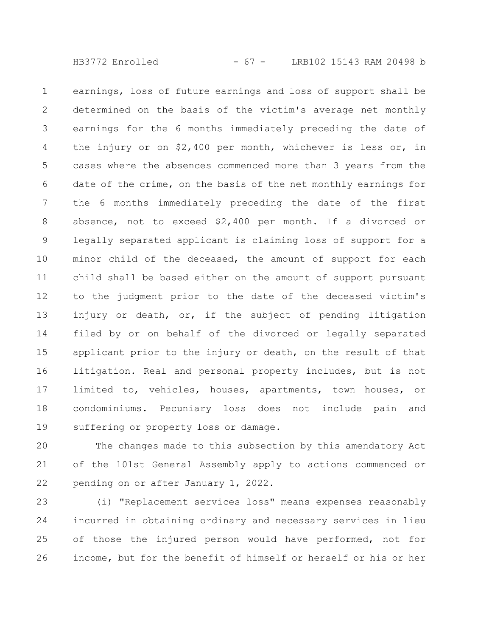HB3772 Enrolled - 67 - LRB102 15143 RAM 20498 b

earnings, loss of future earnings and loss of support shall be determined on the basis of the victim's average net monthly earnings for the 6 months immediately preceding the date of the injury or on \$2,400 per month, whichever is less or, in cases where the absences commenced more than 3 years from the date of the crime, on the basis of the net monthly earnings for the 6 months immediately preceding the date of the first absence, not to exceed \$2,400 per month. If a divorced or legally separated applicant is claiming loss of support for a minor child of the deceased, the amount of support for each child shall be based either on the amount of support pursuant to the judgment prior to the date of the deceased victim's injury or death, or, if the subject of pending litigation filed by or on behalf of the divorced or legally separated applicant prior to the injury or death, on the result of that litigation. Real and personal property includes, but is not limited to, vehicles, houses, apartments, town houses, or condominiums. Pecuniary loss does not include pain and suffering or property loss or damage. 1 2 3 4 5 6 7 8 9 10 11 12 13 14 15 16 17 18 19

The changes made to this subsection by this amendatory Act of the 101st General Assembly apply to actions commenced or pending on or after January 1, 2022. 20 21 22

(i) "Replacement services loss" means expenses reasonably incurred in obtaining ordinary and necessary services in lieu of those the injured person would have performed, not for income, but for the benefit of himself or herself or his or her 23 24 25 26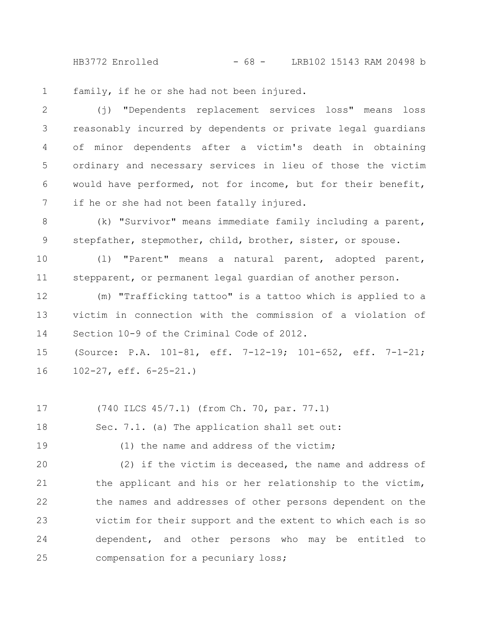HB3772 Enrolled - 68 - LRB102 15143 RAM 20498 b

family, if he or she had not been injured. 1

(j) "Dependents replacement services loss" means loss reasonably incurred by dependents or private legal guardians of minor dependents after a victim's death in obtaining ordinary and necessary services in lieu of those the victim would have performed, not for income, but for their benefit, if he or she had not been fatally injured. 2 3 4 5 6 7

(k) "Survivor" means immediate family including a parent, stepfather, stepmother, child, brother, sister, or spouse. 8 9

(l) "Parent" means a natural parent, adopted parent, stepparent, or permanent legal guardian of another person. 10 11

(m) "Trafficking tattoo" is a tattoo which is applied to a victim in connection with the commission of a violation of Section 10-9 of the Criminal Code of 2012. 12 13 14

(Source: P.A. 101-81, eff. 7-12-19; 101-652, eff. 7-1-21; 102-27, eff. 6-25-21.) 15 16

(740 ILCS 45/7.1) (from Ch. 70, par. 77.1) 17

Sec. 7.1. (a) The application shall set out: 18

(1) the name and address of the victim;

19

(2) if the victim is deceased, the name and address of the applicant and his or her relationship to the victim, the names and addresses of other persons dependent on the victim for their support and the extent to which each is so dependent, and other persons who may be entitled to compensation for a pecuniary loss; 20 21 22 23 24 25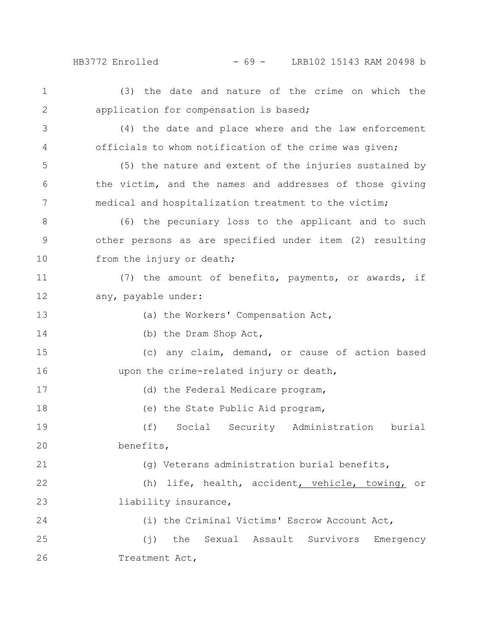HB3772 Enrolled - 69 - LRB102 15143 RAM 20498 b

(3) the date and nature of the crime on which the application for compensation is based; (4) the date and place where and the law enforcement officials to whom notification of the crime was given; (5) the nature and extent of the injuries sustained by the victim, and the names and addresses of those giving medical and hospitalization treatment to the victim; (6) the pecuniary loss to the applicant and to such other persons as are specified under item (2) resulting from the injury or death; (7) the amount of benefits, payments, or awards, if any, payable under: (a) the Workers' Compensation Act, (b) the Dram Shop Act, (c) any claim, demand, or cause of action based upon the crime-related injury or death, (d) the Federal Medicare program, (e) the State Public Aid program, (f) Social Security Administration burial benefits, (g) Veterans administration burial benefits, (h) life, health, accident, vehicle, towing, or liability insurance, (i) the Criminal Victims' Escrow Account Act, (j) the Sexual Assault Survivors Emergency Treatment Act, 1 2 3 4 5 6 7 8 9 10 11 12 13 14 15 16 17 18 19 20 21 22 23 24 25 26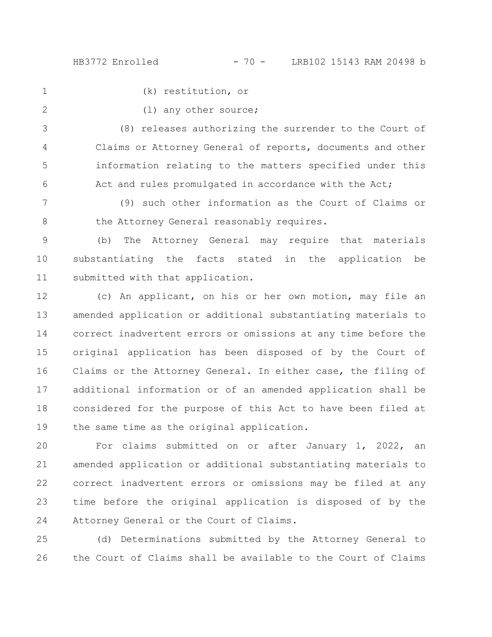HB3772 Enrolled - 70 - LRB102 15143 RAM 20498 b

1

(k) restitution, or

2

(l) any other source;

(8) releases authorizing the surrender to the Court of Claims or Attorney General of reports, documents and other information relating to the matters specified under this Act and rules promulgated in accordance with the Act; 3 4 5 6

(9) such other information as the Court of Claims or the Attorney General reasonably requires. 7 8

(b) The Attorney General may require that materials substantiating the facts stated in the application be submitted with that application. 9 10 11

(c) An applicant, on his or her own motion, may file an amended application or additional substantiating materials to correct inadvertent errors or omissions at any time before the original application has been disposed of by the Court of Claims or the Attorney General. In either case, the filing of additional information or of an amended application shall be considered for the purpose of this Act to have been filed at the same time as the original application. 12 13 14 15 16 17 18 19

For claims submitted on or after January 1, 2022, an amended application or additional substantiating materials to correct inadvertent errors or omissions may be filed at any time before the original application is disposed of by the Attorney General or the Court of Claims. 20 21 22 23 24

(d) Determinations submitted by the Attorney General to the Court of Claims shall be available to the Court of Claims 25 26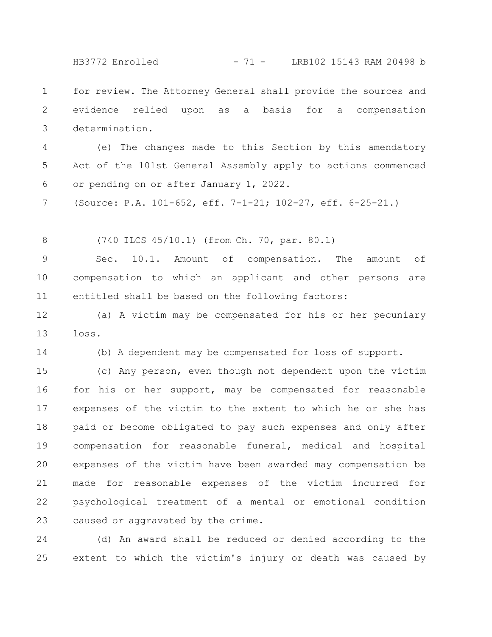HB3772 Enrolled - 71 - LRB102 15143 RAM 20498 b

for review. The Attorney General shall provide the sources and evidence relied upon as a basis for a compensation determination. 1 2 3

(e) The changes made to this Section by this amendatory Act of the 101st General Assembly apply to actions commenced or pending on or after January 1, 2022. 4 5 6

(Source: P.A. 101-652, eff. 7-1-21; 102-27, eff. 6-25-21.) 7

(740 ILCS 45/10.1) (from Ch. 70, par. 80.1) 8

14

Sec. 10.1. Amount of compensation. The amount of compensation to which an applicant and other persons are entitled shall be based on the following factors: 9 10 11

(a) A victim may be compensated for his or her pecuniary loss. 12 13

(b) A dependent may be compensated for loss of support.

(c) Any person, even though not dependent upon the victim for his or her support, may be compensated for reasonable expenses of the victim to the extent to which he or she has paid or become obligated to pay such expenses and only after compensation for reasonable funeral, medical and hospital expenses of the victim have been awarded may compensation be made for reasonable expenses of the victim incurred for psychological treatment of a mental or emotional condition caused or aggravated by the crime. 15 16 17 18 19 20 21 22 23

(d) An award shall be reduced or denied according to the extent to which the victim's injury or death was caused by 24 25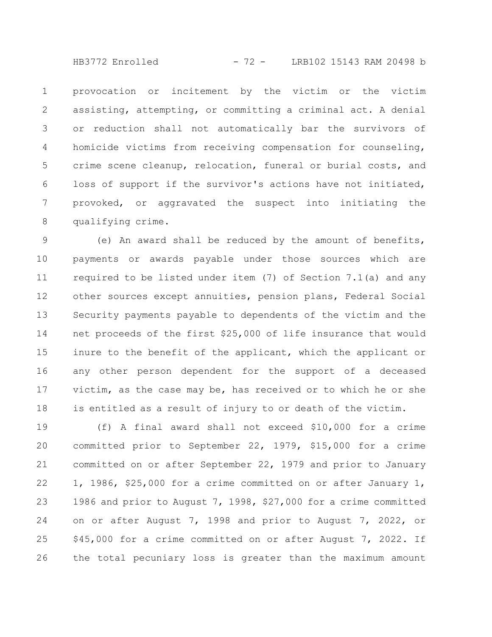HB3772 Enrolled - 72 - LRB102 15143 RAM 20498 b

provocation or incitement by the victim or the victim assisting, attempting, or committing a criminal act. A denial or reduction shall not automatically bar the survivors of homicide victims from receiving compensation for counseling, crime scene cleanup, relocation, funeral or burial costs, and loss of support if the survivor's actions have not initiated, provoked, or aggravated the suspect into initiating the qualifying crime. 1 2 3 4 5 6 7 8

(e) An award shall be reduced by the amount of benefits, payments or awards payable under those sources which are required to be listed under item (7) of Section 7.1(a) and any other sources except annuities, pension plans, Federal Social Security payments payable to dependents of the victim and the net proceeds of the first \$25,000 of life insurance that would inure to the benefit of the applicant, which the applicant or any other person dependent for the support of a deceased victim, as the case may be, has received or to which he or she is entitled as a result of injury to or death of the victim. 9 10 11 12 13 14 15 16 17 18

(f) A final award shall not exceed \$10,000 for a crime committed prior to September 22, 1979, \$15,000 for a crime committed on or after September 22, 1979 and prior to January 1, 1986, \$25,000 for a crime committed on or after January 1, 1986 and prior to August 7, 1998, \$27,000 for a crime committed on or after August 7, 1998 and prior to August 7, 2022, or \$45,000 for a crime committed on or after August 7, 2022. If the total pecuniary loss is greater than the maximum amount 19 20 21 22 23 24 25 26